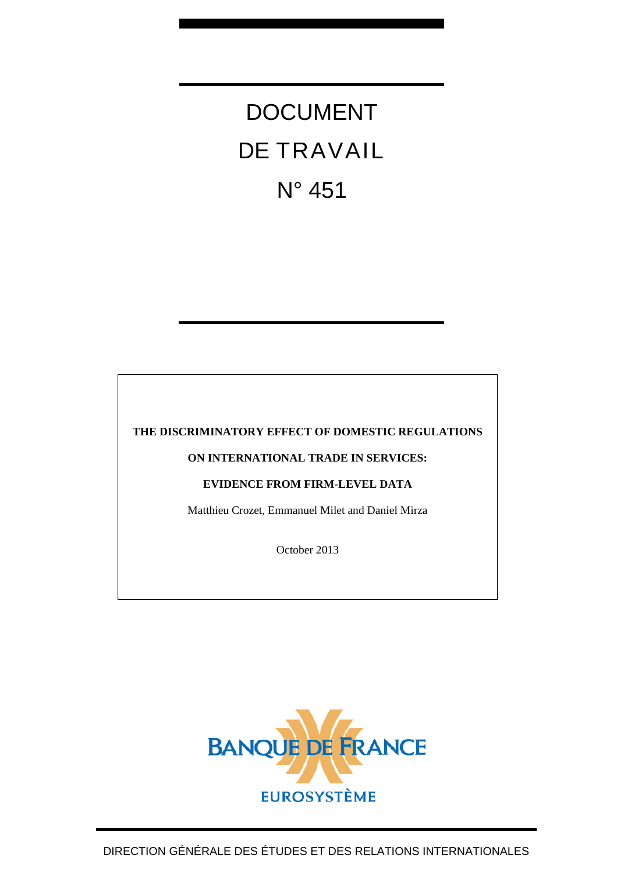# DOCUMENT DE TRAVAIL N° 451

#### **THE DISCRIMINATORY EFFECT OF DOMESTIC REGULATIONS**

#### **ON INTERNATIONAL TRADE IN SERVICES:**

#### **EVIDENCE FROM FIRM-LEVEL DATA**

Matthieu Crozet, Emmanuel Milet and Daniel Mirza

October 2013

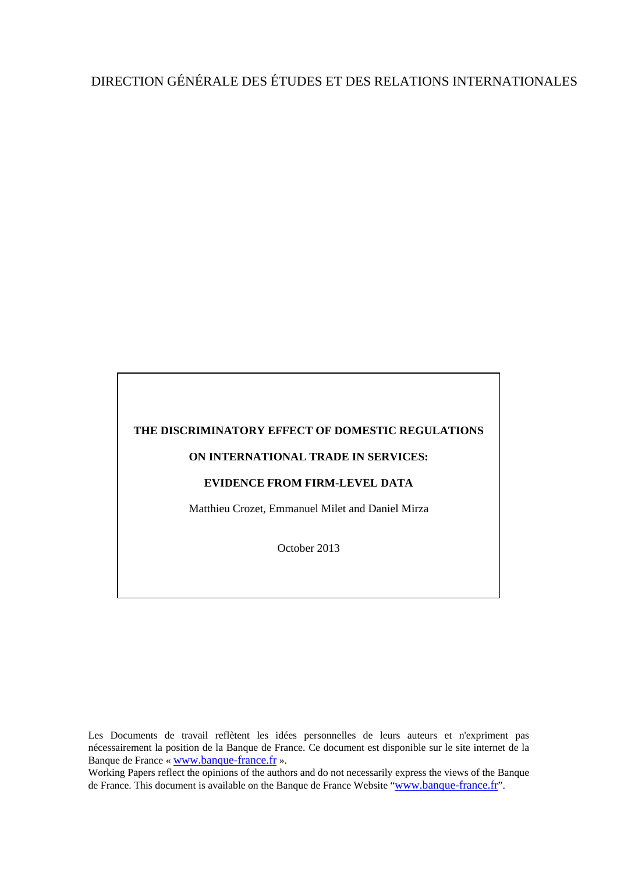## DIRECTION GÉNÉRALE DES ÉTUDES ET DES RELATIONS INTERNATIONALES

#### **THE DISCRIMINATORY EFFECT OF DOMESTIC REGULATIONS**

#### **ON INTERNATIONAL TRADE IN SERVICES:**

#### **EVIDENCE FROM FIRM-LEVEL DATA**

Matthieu Crozet, Emmanuel Milet and Daniel Mirza

October 2013

Les Documents de travail reflètent les idées personnelles de leurs auteurs et n'expriment pas nécessairement la position de la Banque de France. Ce document est disponible sur le site internet de la Banque de France « [www.banque-france.fr](http://www.banque-france.fr/) ».

Working Papers reflect the opinions of the authors and do not necessarily express the views of the Banque de France. This document is available on the Banque de France Website "[www.banque-france.fr](http://www.banque-france.fr/)".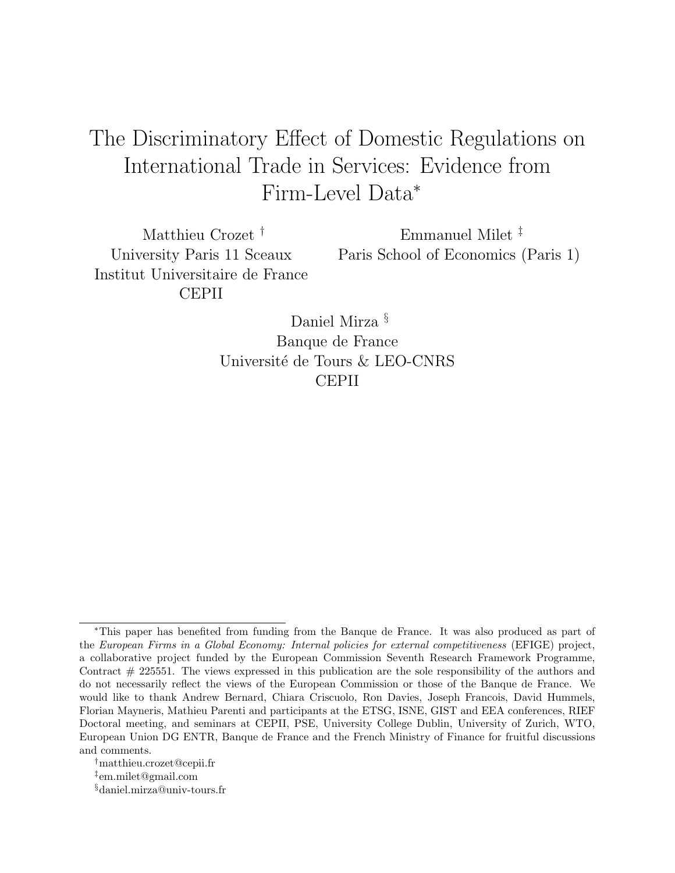## The Discriminatory Effect of Domestic Regulations on International Trade in Services: Evidence from Firm-Level Data<sup>∗</sup>

Matthieu Crozet † University Paris 11 Sceaux Institut Universitaire de France CEPII

Emmanuel Milet ‡ Paris School of Economics (Paris 1)

Daniel Mirza § Banque de France Université de Tours & LEO-CNRS CEPII

<sup>∗</sup>This paper has benefited from funding from the Banque de France. It was also produced as part of the European Firms in a Global Economy: Internal policies for external competitiveness (EFIGE) project, a collaborative project funded by the European Commission Seventh Research Framework Programme, Contract  $#$  225551. The views expressed in this publication are the sole responsibility of the authors and do not necessarily reflect the views of the European Commission or those of the Banque de France. We would like to thank Andrew Bernard, Chiara Criscuolo, Ron Davies, Joseph Francois, David Hummels, Florian Mayneris, Mathieu Parenti and participants at the ETSG, ISNE, GIST and EEA conferences, RIEF Doctoral meeting, and seminars at CEPII, PSE, University College Dublin, University of Zurich, WTO, European Union DG ENTR, Banque de France and the French Ministry of Finance for fruitful discussions and comments.

<sup>†</sup>matthieu.crozet@cepii.fr

<sup>‡</sup> em.milet@gmail.com

<sup>§</sup>daniel.mirza@univ-tours.fr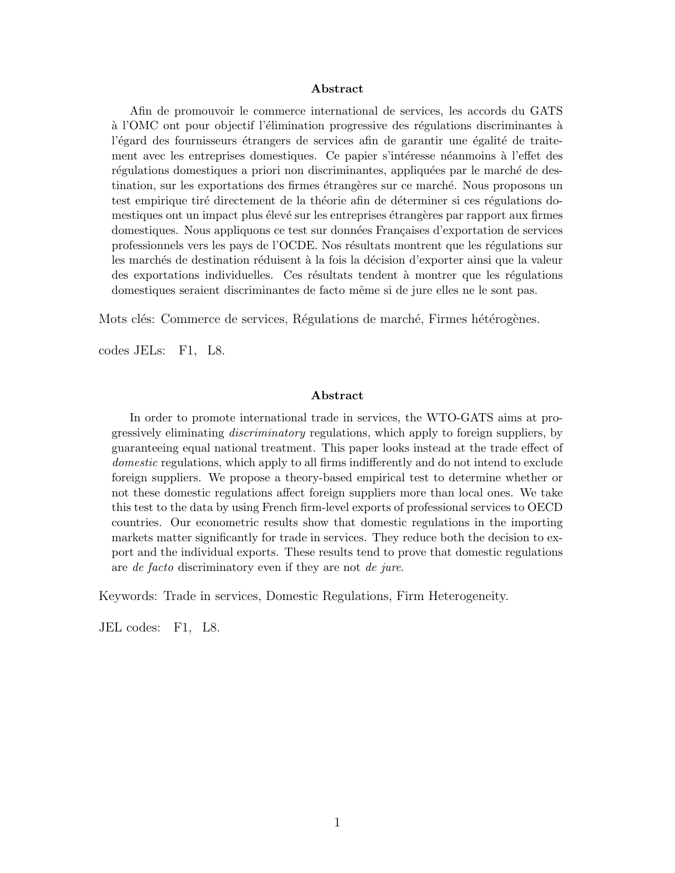#### Abstract

Afin de promouvoir le commerce international de services, les accords du GATS à l'OMC ont pour objectif l'élimination progressive des régulations discriminantes à l'égard des fournisseurs étrangers de services afin de garantir une égalité de traitement avec les entreprises domestiques. Ce papier s'intéresse néanmoins à l'effet des régulations domestiques a priori non discriminantes, appliquées par le marché de destination, sur les exportations des firmes étrangères sur ce marché. Nous proposons un test empirique tiré directement de la théorie afin de déterminer si ces régulations domestiques ont un impact plus élevé sur les entreprises étrangères par rapport aux firmes domestiques. Nous appliquons ce test sur données Françaises d'exportation de services professionnels vers les pays de l'OCDE. Nos résultats montrent que les régulations sur les marchés de destination réduisent à la fois la décision d'exporter ainsi que la valeur des exportations individuelles. Ces résultats tendent à montrer que les régulations domestiques seraient discriminantes de facto même si de jure elles ne le sont pas.

Mots clés: Commerce de services, Régulations de marché, Firmes hétérogènes.

codes JELs: F1, L8.

#### Abstract

In order to promote international trade in services, the WTO-GATS aims at progressively eliminating discriminatory regulations, which apply to foreign suppliers, by guaranteeing equal national treatment. This paper looks instead at the trade effect of domestic regulations, which apply to all firms indifferently and do not intend to exclude foreign suppliers. We propose a theory-based empirical test to determine whether or not these domestic regulations affect foreign suppliers more than local ones. We take this test to the data by using French firm-level exports of professional services to OECD countries. Our econometric results show that domestic regulations in the importing markets matter significantly for trade in services. They reduce both the decision to export and the individual exports. These results tend to prove that domestic regulations are de facto discriminatory even if they are not de jure.

Keywords: Trade in services, Domestic Regulations, Firm Heterogeneity.

JEL codes: F1, L8.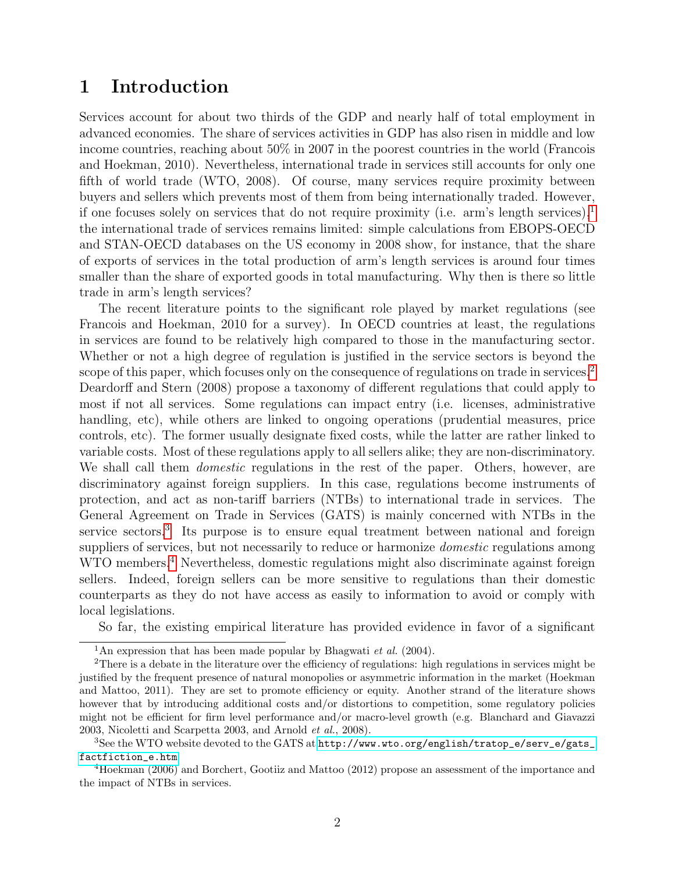## 1 Introduction

Services account for about two thirds of the GDP and nearly half of total employment in advanced economies. The share of services activities in GDP has also risen in middle and low income countries, reaching about 50% in 2007 in the poorest countries in the world (Francois and Hoekman, 2010). Nevertheless, international trade in services still accounts for only one fifth of world trade (WTO, 2008). Of course, many services require proximity between buyers and sellers which prevents most of them from being internationally traded. However, if one focuses solely on services that do not require proximity (i.e. arm's length services), $<sup>1</sup>$  $<sup>1</sup>$  $<sup>1</sup>$ </sup> the international trade of services remains limited: simple calculations from EBOPS-OECD and STAN-OECD databases on the US economy in 2008 show, for instance, that the share of exports of services in the total production of arm's length services is around four times smaller than the share of exported goods in total manufacturing. Why then is there so little trade in arm's length services?

The recent literature points to the significant role played by market regulations (see Francois and Hoekman, 2010 for a survey). In OECD countries at least, the regulations in services are found to be relatively high compared to those in the manufacturing sector. Whether or not a high degree of regulation is justified in the service sectors is beyond the scope of this paper, which focuses only on the consequence of regulations on trade in services.<sup>[2](#page-4-1)</sup> Deardorff and Stern (2008) propose a taxonomy of different regulations that could apply to most if not all services. Some regulations can impact entry (i.e. licenses, administrative handling, etc), while others are linked to ongoing operations (prudential measures, price controls, etc). The former usually designate fixed costs, while the latter are rather linked to variable costs. Most of these regulations apply to all sellers alike; they are non-discriminatory. We shall call them *domestic* regulations in the rest of the paper. Others, however, are discriminatory against foreign suppliers. In this case, regulations become instruments of protection, and act as non-tariff barriers (NTBs) to international trade in services. The General Agreement on Trade in Services (GATS) is mainly concerned with NTBs in the service sectors.<sup>[3](#page-4-2)</sup> Its purpose is to ensure equal treatment between national and foreign suppliers of services, but not necessarily to reduce or harmonize *domestic* regulations among WTO members.<sup>[4](#page-4-3)</sup> Nevertheless, domestic regulations might also discriminate against foreign sellers. Indeed, foreign sellers can be more sensitive to regulations than their domestic counterparts as they do not have access as easily to information to avoid or comply with local legislations.

So far, the existing empirical literature has provided evidence in favor of a significant

<span id="page-4-1"></span><span id="page-4-0"></span><sup>&</sup>lt;sup>1</sup>An expression that has been made popular by Bhagwati *et al.* (2004).

<sup>&</sup>lt;sup>2</sup>There is a debate in the literature over the efficiency of regulations: high regulations in services might be justified by the frequent presence of natural monopolies or asymmetric information in the market (Hoekman and Mattoo, 2011). They are set to promote efficiency or equity. Another strand of the literature shows however that by introducing additional costs and/or distortions to competition, some regulatory policies might not be efficient for firm level performance and/or macro-level growth (e.g. Blanchard and Giavazzi 2003, Nicoletti and Scarpetta 2003, and Arnold et al., 2008).

<span id="page-4-2"></span><sup>&</sup>lt;sup>3</sup>See the WTO website devoted to the GATS at [http://www.wto.org/english/tratop\\_e/serv\\_e/gats\\_](http://www.wto.org/english/tratop_e/serv_e/gats_factfiction_e.htm) [factfiction\\_e.htm](http://www.wto.org/english/tratop_e/serv_e/gats_factfiction_e.htm)

<span id="page-4-3"></span><sup>4</sup>Hoekman (2006) and Borchert, Gootiiz and Mattoo (2012) propose an assessment of the importance and the impact of NTBs in services.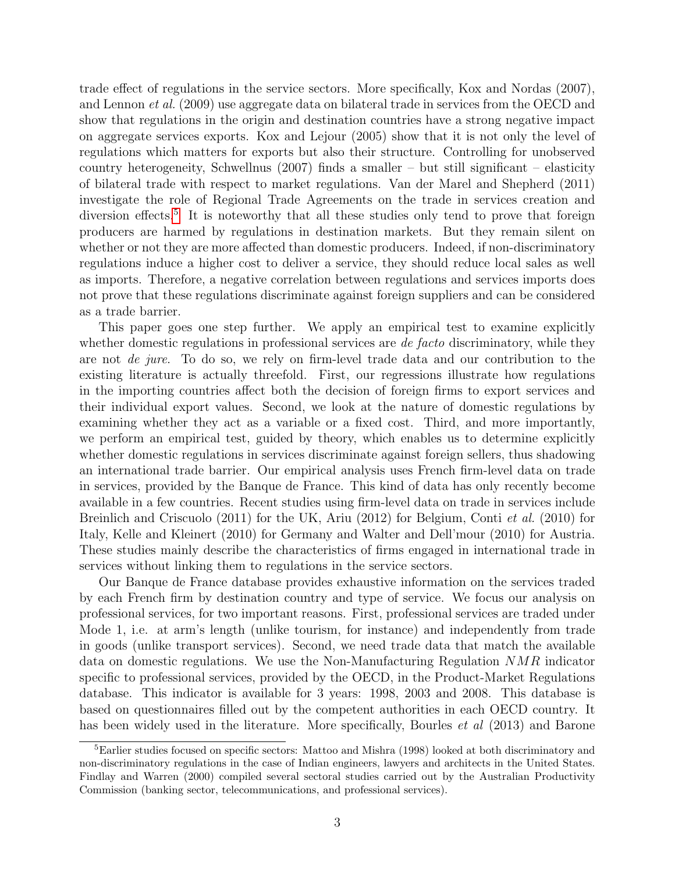trade effect of regulations in the service sectors. More specifically, Kox and Nordas (2007), and Lennon et al. (2009) use aggregate data on bilateral trade in services from the OECD and show that regulations in the origin and destination countries have a strong negative impact on aggregate services exports. Kox and Lejour (2005) show that it is not only the level of regulations which matters for exports but also their structure. Controlling for unobserved country heterogeneity, Schwellnus (2007) finds a smaller  $-$  but still significant  $-$  elasticity of bilateral trade with respect to market regulations. Van der Marel and Shepherd (2011) investigate the role of Regional Trade Agreements on the trade in services creation and diversion effects.<sup>[5](#page-5-0)</sup> It is noteworthy that all these studies only tend to prove that foreign producers are harmed by regulations in destination markets. But they remain silent on whether or not they are more affected than domestic producers. Indeed, if non-discriminatory regulations induce a higher cost to deliver a service, they should reduce local sales as well as imports. Therefore, a negative correlation between regulations and services imports does not prove that these regulations discriminate against foreign suppliers and can be considered as a trade barrier.

This paper goes one step further. We apply an empirical test to examine explicitly whether domestic regulations in professional services are *de facto* discriminatory, while they are not de jure. To do so, we rely on firm-level trade data and our contribution to the existing literature is actually threefold. First, our regressions illustrate how regulations in the importing countries affect both the decision of foreign firms to export services and their individual export values. Second, we look at the nature of domestic regulations by examining whether they act as a variable or a fixed cost. Third, and more importantly, we perform an empirical test, guided by theory, which enables us to determine explicitly whether domestic regulations in services discriminate against foreign sellers, thus shadowing an international trade barrier. Our empirical analysis uses French firm-level data on trade in services, provided by the Banque de France. This kind of data has only recently become available in a few countries. Recent studies using firm-level data on trade in services include Breinlich and Criscuolo (2011) for the UK, Ariu (2012) for Belgium, Conti et al. (2010) for Italy, Kelle and Kleinert (2010) for Germany and Walter and Dell'mour (2010) for Austria. These studies mainly describe the characteristics of firms engaged in international trade in services without linking them to regulations in the service sectors.

Our Banque de France database provides exhaustive information on the services traded by each French firm by destination country and type of service. We focus our analysis on professional services, for two important reasons. First, professional services are traded under Mode 1, i.e. at arm's length (unlike tourism, for instance) and independently from trade in goods (unlike transport services). Second, we need trade data that match the available data on domestic regulations. We use the Non-Manufacturing Regulation NMR indicator specific to professional services, provided by the OECD, in the Product-Market Regulations database. This indicator is available for 3 years: 1998, 2003 and 2008. This database is based on questionnaires filled out by the competent authorities in each OECD country. It has been widely used in the literature. More specifically, Bourles *et al* (2013) and Barone

<span id="page-5-0"></span><sup>&</sup>lt;sup>5</sup>Earlier studies focused on specific sectors: Mattoo and Mishra (1998) looked at both discriminatory and non-discriminatory regulations in the case of Indian engineers, lawyers and architects in the United States. Findlay and Warren (2000) compiled several sectoral studies carried out by the Australian Productivity Commission (banking sector, telecommunications, and professional services).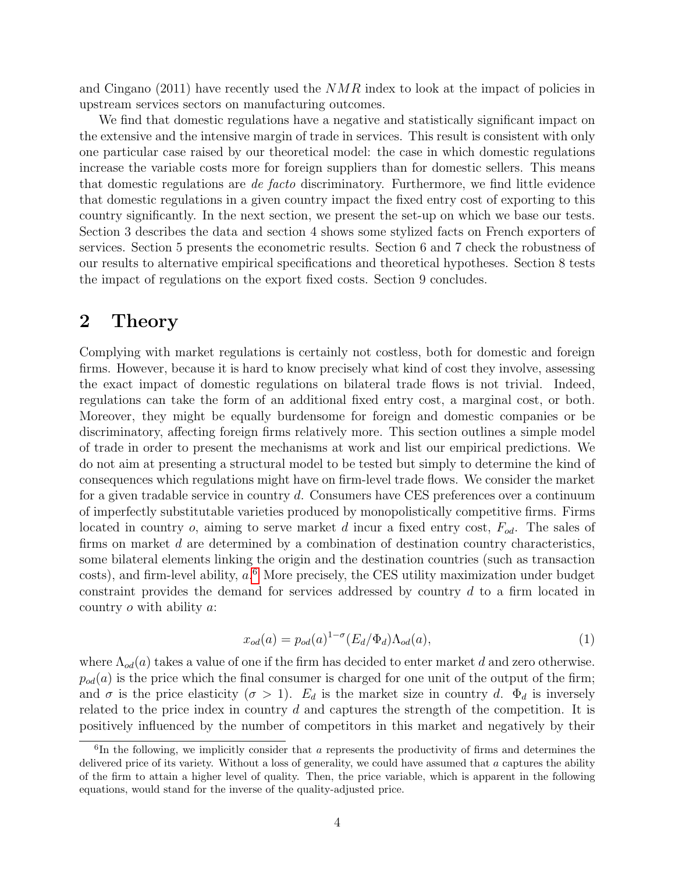and Cingano (2011) have recently used the  $NMR$  index to look at the impact of policies in upstream services sectors on manufacturing outcomes.

We find that domestic regulations have a negative and statistically significant impact on the extensive and the intensive margin of trade in services. This result is consistent with only one particular case raised by our theoretical model: the case in which domestic regulations increase the variable costs more for foreign suppliers than for domestic sellers. This means that domestic regulations are de facto discriminatory. Furthermore, we find little evidence that domestic regulations in a given country impact the fixed entry cost of exporting to this country significantly. In the next section, we present the set-up on which we base our tests. Section 3 describes the data and section 4 shows some stylized facts on French exporters of services. Section 5 presents the econometric results. Section 6 and 7 check the robustness of our results to alternative empirical specifications and theoretical hypotheses. Section 8 tests the impact of regulations on the export fixed costs. Section 9 concludes.

### 2 Theory

Complying with market regulations is certainly not costless, both for domestic and foreign firms. However, because it is hard to know precisely what kind of cost they involve, assessing the exact impact of domestic regulations on bilateral trade flows is not trivial. Indeed, regulations can take the form of an additional fixed entry cost, a marginal cost, or both. Moreover, they might be equally burdensome for foreign and domestic companies or be discriminatory, affecting foreign firms relatively more. This section outlines a simple model of trade in order to present the mechanisms at work and list our empirical predictions. We do not aim at presenting a structural model to be tested but simply to determine the kind of consequences which regulations might have on firm-level trade flows. We consider the market for a given tradable service in country d. Consumers have CES preferences over a continuum of imperfectly substitutable varieties produced by monopolistically competitive firms. Firms located in country  $o$ , aiming to serve market d incur a fixed entry cost,  $F_{od}$ . The sales of firms on market d are determined by a combination of destination country characteristics, some bilateral elements linking the origin and the destination countries (such as transaction costs), and firm-level ability,  $a$ <sup>[6](#page-6-0)</sup> More precisely, the CES utility maximization under budget constraint provides the demand for services addressed by country d to a firm located in country o with ability a:

<span id="page-6-1"></span>
$$
x_{od}(a) = p_{od}(a)^{1-\sigma} (E_d/\Phi_d) \Lambda_{od}(a), \qquad (1)
$$

where  $\Lambda_{od}(a)$  takes a value of one if the firm has decided to enter market d and zero otherwise.  $p_{od}(a)$  is the price which the final consumer is charged for one unit of the output of the firm; and  $\sigma$  is the price elasticity  $(\sigma > 1)$ .  $E_d$  is the market size in country d.  $\Phi_d$  is inversely related to the price index in country d and captures the strength of the competition. It is positively influenced by the number of competitors in this market and negatively by their

<span id="page-6-0"></span><sup>&</sup>lt;sup>6</sup>In the following, we implicitly consider that a represents the productivity of firms and determines the delivered price of its variety. Without a loss of generality, we could have assumed that  $a$  captures the ability of the firm to attain a higher level of quality. Then, the price variable, which is apparent in the following equations, would stand for the inverse of the quality-adjusted price.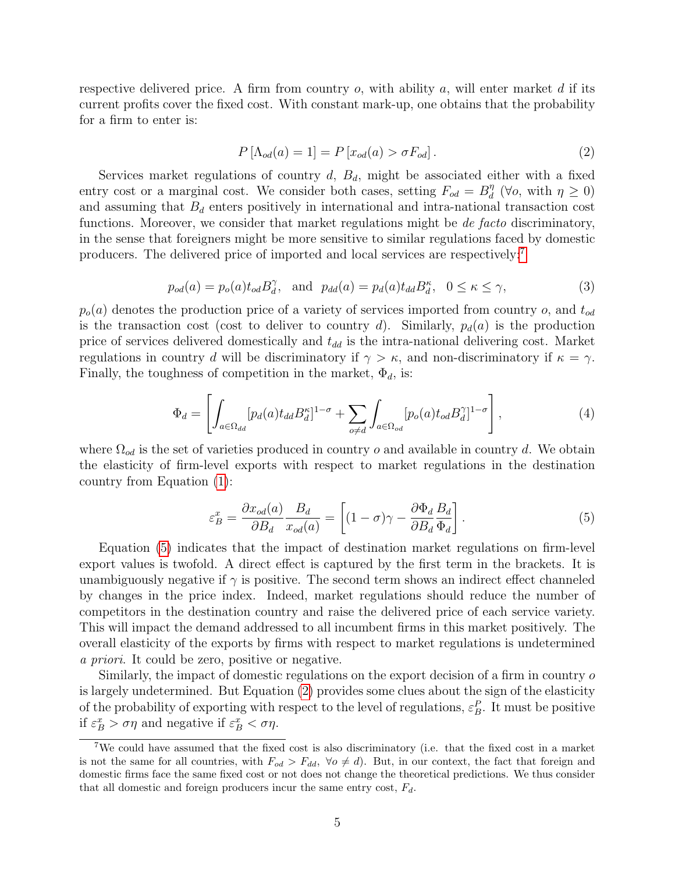respective delivered price. A firm from country  $o$ , with ability  $a$ , will enter market  $d$  if its current profits cover the fixed cost. With constant mark-up, one obtains that the probability for a firm to enter is:

<span id="page-7-2"></span>
$$
P\left[\Lambda_{od}(a) = 1\right] = P\left[x_{od}(a) > \sigma F_{od}\right].\tag{2}
$$

Services market regulations of country  $d, B_d$ , might be associated either with a fixed entry cost or a marginal cost. We consider both cases, setting  $F_{od} = B_d^{\eta}$  $\eta_d^{\eta}$  ( $\forall o$ , with  $\eta \geq 0$ ) and assuming that  $B_d$  enters positively in international and intra-national transaction cost functions. Moreover, we consider that market regulations might be *de facto* discriminatory, in the sense that foreigners might be more sensitive to similar regulations faced by domestic producers. The delivered price of imported and local services are respectively:[7](#page-7-0)

<span id="page-7-3"></span>
$$
p_{od}(a) = p_o(a)t_{od}B_d^{\gamma}, \text{ and } p_{dd}(a) = p_d(a)t_{dd}B_d^{\kappa}, \quad 0 \le \kappa \le \gamma,
$$
 (3)

 $p_o(a)$  denotes the production price of a variety of services imported from country o, and  $t_{od}$ is the transaction cost (cost to deliver to country d). Similarly,  $p_d(a)$  is the production price of services delivered domestically and  $t_{dd}$  is the intra-national delivering cost. Market regulations in country d will be discriminatory if  $\gamma > \kappa$ , and non-discriminatory if  $\kappa = \gamma$ . Finally, the toughness of competition in the market,  $\Phi_d$ , is:

$$
\Phi_d = \left[ \int_{a \in \Omega_{dd}} [p_d(a) t_{dd} B_d^{\kappa}]^{1-\sigma} + \sum_{o \neq d} \int_{a \in \Omega_{od}} [p_o(a) t_{od} B_d^{\gamma}]^{1-\sigma} \right],\tag{4}
$$

where  $\Omega_{od}$  is the set of varieties produced in country o and available in country d. We obtain the elasticity of firm-level exports with respect to market regulations in the destination country from Equation [\(1\)](#page-6-1):

<span id="page-7-1"></span>
$$
\varepsilon_B^x = \frac{\partial x_{od}(a)}{\partial B_d} \frac{B_d}{x_{od}(a)} = \left[ (1 - \sigma)\gamma - \frac{\partial \Phi_d}{\partial B_d} \frac{B_d}{\Phi_d} \right].
$$
\n(5)

Equation [\(5\)](#page-7-1) indicates that the impact of destination market regulations on firm-level export values is twofold. A direct effect is captured by the first term in the brackets. It is unambiguously negative if  $\gamma$  is positive. The second term shows an indirect effect channeled by changes in the price index. Indeed, market regulations should reduce the number of competitors in the destination country and raise the delivered price of each service variety. This will impact the demand addressed to all incumbent firms in this market positively. The overall elasticity of the exports by firms with respect to market regulations is undetermined a priori. It could be zero, positive or negative.

Similarly, the impact of domestic regulations on the export decision of a firm in country o is largely undetermined. But Equation [\(2\)](#page-7-2) provides some clues about the sign of the elasticity of the probability of exporting with respect to the level of regulations,  $\varepsilon_B^P$ . It must be positive if  $\varepsilon_B^x > \sigma \eta$  and negative if  $\varepsilon_B^x < \sigma \eta$ .

<span id="page-7-0"></span><sup>7</sup>We could have assumed that the fixed cost is also discriminatory (i.e. that the fixed cost in a market is not the same for all countries, with  $F_{od} > F_{dd}$ ,  $\forall o \neq d$ ). But, in our context, the fact that foreign and domestic firms face the same fixed cost or not does not change the theoretical predictions. We thus consider that all domestic and foreign producers incur the same entry cost,  $F_d$ .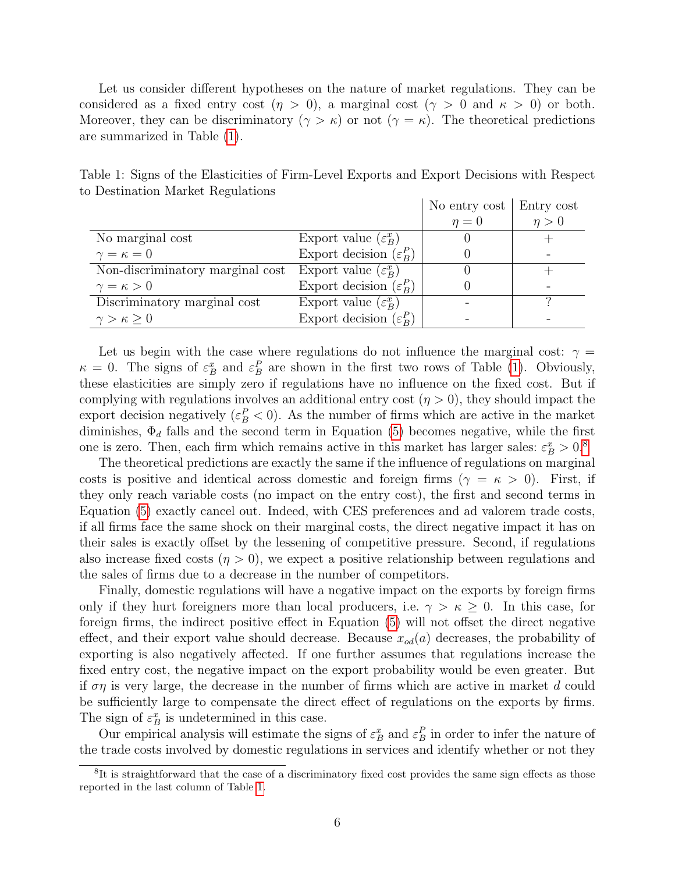Let us consider different hypotheses on the nature of market regulations. They can be considered as a fixed entry cost  $(\eta > 0)$ , a marginal cost  $(\gamma > 0$  and  $\kappa > 0)$  or both. Moreover, they can be discriminatory  $(\gamma > \kappa)$  or not  $(\gamma = \kappa)$ . The theoretical predictions are summarized in Table [\(1\)](#page-8-0).

No entry cost | Entry cost  $\eta = 0$   $\eta > 0$ No marginal cost Export value  $(\varepsilon_F^x)$  $\begin{array}{c|c}\n x \\
B\n \end{array}$   $\begin{array}{c|c}\n 0 \\
\end{array}$  +  $\gamma = \kappa = 0$  Export decision ( $\varepsilon_R^F$  $\begin{array}{c} P \ B \end{array}$  0 -Non-discriminatory marginal cost Export value  $(\varepsilon_R^x)$  $\begin{array}{c|c}\n x \\
B\n \end{array}$   $\begin{array}{c|c}\n 0 \\
\end{array}$  +  $\gamma = \kappa > 0$  Export decision ( $\varepsilon_R^F$  $\begin{array}{c|c} P \ B \end{array}$  0 -Discriminatory marginal cost Export value  $(\varepsilon_B^x)$  $\begin{array}{c} \text{ }x \text{ } \\ \text{ }B\end{array}$  - ?  $\gamma > \kappa \geq 0$  Export decision ( $\varepsilon_R^P$  $\begin{array}{c|c|c|c|c} P \end{array}$  - - -

<span id="page-8-0"></span>Table 1: Signs of the Elasticities of Firm-Level Exports and Export Decisions with Respect to Destination Market Regulations

Let us begin with the case where regulations do not influence the marginal cost:  $\gamma =$  $\kappa = 0$ . The signs of  $\varepsilon_B^x$  and  $\varepsilon_B^P$  are shown in the first two rows of Table [\(1\)](#page-8-0). Obviously, these elasticities are simply zero if regulations have no influence on the fixed cost. But if complying with regulations involves an additional entry cost  $(\eta > 0)$ , they should impact the export decision negatively  $(\varepsilon_B^P < 0)$ . As the number of firms which are active in the market diminishes,  $\Phi_d$  falls and the second term in Equation [\(5\)](#page-7-1) becomes negative, while the first one is zero. Then, each firm which remains active in this market has larger sales:  $\varepsilon_B^x > 0$ .<sup>[8](#page-8-1)</sup>

The theoretical predictions are exactly the same if the influence of regulations on marginal costs is positive and identical across domestic and foreign firms ( $\gamma = \kappa > 0$ ). First, if they only reach variable costs (no impact on the entry cost), the first and second terms in Equation [\(5\)](#page-7-1) exactly cancel out. Indeed, with CES preferences and ad valorem trade costs, if all firms face the same shock on their marginal costs, the direct negative impact it has on their sales is exactly offset by the lessening of competitive pressure. Second, if regulations also increase fixed costs  $(\eta > 0)$ , we expect a positive relationship between regulations and the sales of firms due to a decrease in the number of competitors.

Finally, domestic regulations will have a negative impact on the exports by foreign firms only if they hurt foreigners more than local producers, i.e.  $\gamma > \kappa > 0$ . In this case, for foreign firms, the indirect positive effect in Equation [\(5\)](#page-7-1) will not offset the direct negative effect, and their export value should decrease. Because  $x_{od}(a)$  decreases, the probability of exporting is also negatively affected. If one further assumes that regulations increase the fixed entry cost, the negative impact on the export probability would be even greater. But if  $\sigma\eta$  is very large, the decrease in the number of firms which are active in market d could be sufficiently large to compensate the direct effect of regulations on the exports by firms. The sign of  $\varepsilon_B^x$  is undetermined in this case.

Our empirical analysis will estimate the signs of  $\varepsilon_B^x$  and  $\varepsilon_B^P$  in order to infer the nature of the trade costs involved by domestic regulations in services and identify whether or not they

<span id="page-8-1"></span><sup>&</sup>lt;sup>8</sup>It is straightforward that the case of a discriminatory fixed cost provides the same sign effects as those reported in the last column of Table [1.](#page-8-0)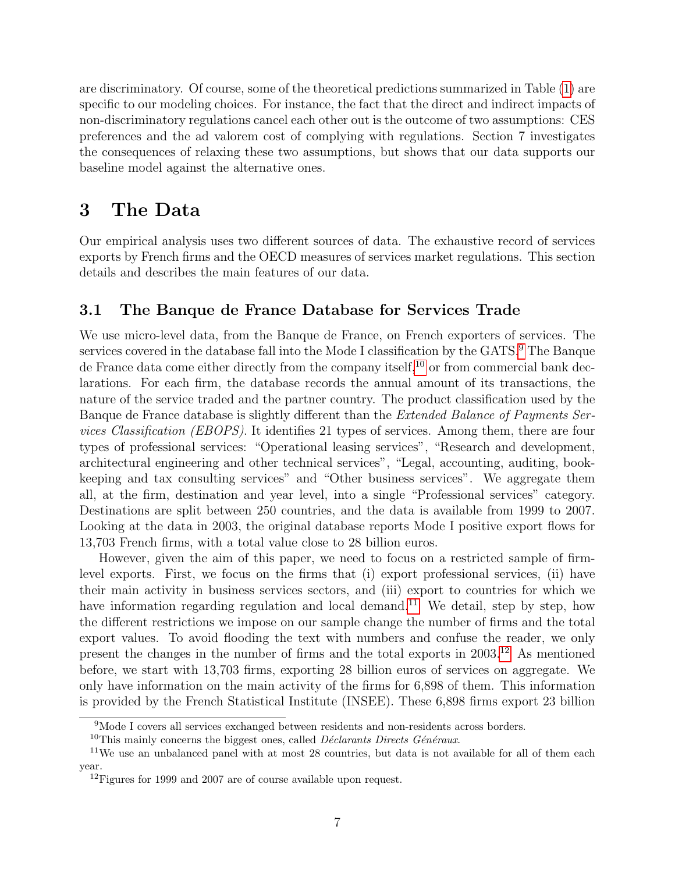are discriminatory. Of course, some of the theoretical predictions summarized in Table [\(1\)](#page-8-0) are specific to our modeling choices. For instance, the fact that the direct and indirect impacts of non-discriminatory regulations cancel each other out is the outcome of two assumptions: CES preferences and the ad valorem cost of complying with regulations. Section 7 investigates the consequences of relaxing these two assumptions, but shows that our data supports our baseline model against the alternative ones.

## 3 The Data

Our empirical analysis uses two different sources of data. The exhaustive record of services exports by French firms and the OECD measures of services market regulations. This section details and describes the main features of our data.

### 3.1 The Banque de France Database for Services Trade

We use micro-level data, from the Banque de France, on French exporters of services. The services covered in the database fall into the Mode I classification by the GATS.[9](#page-9-0) The Banque de France data come either directly from the company itself,  $^{10}$  $^{10}$  $^{10}$  or from commercial bank declarations. For each firm, the database records the annual amount of its transactions, the nature of the service traded and the partner country. The product classification used by the Banque de France database is slightly different than the Extended Balance of Payments Services Classification (EBOPS). It identifies 21 types of services. Among them, there are four types of professional services: "Operational leasing services", "Research and development, architectural engineering and other technical services", "Legal, accounting, auditing, bookkeeping and tax consulting services" and "Other business services". We aggregate them all, at the firm, destination and year level, into a single "Professional services" category. Destinations are split between 250 countries, and the data is available from 1999 to 2007. Looking at the data in 2003, the original database reports Mode I positive export flows for 13,703 French firms, with a total value close to 28 billion euros.

However, given the aim of this paper, we need to focus on a restricted sample of firmlevel exports. First, we focus on the firms that (i) export professional services, (ii) have their main activity in business services sectors, and (iii) export to countries for which we have information regarding regulation and local demand.<sup>[11](#page-9-2)</sup> We detail, step by step, how the different restrictions we impose on our sample change the number of firms and the total export values. To avoid flooding the text with numbers and confuse the reader, we only present the changes in the number of firms and the total exports in 2003.[12](#page-9-3) As mentioned before, we start with 13,703 firms, exporting 28 billion euros of services on aggregate. We only have information on the main activity of the firms for 6,898 of them. This information is provided by the French Statistical Institute (INSEE). These 6,898 firms export 23 billion

<span id="page-9-0"></span><sup>9</sup>Mode I covers all services exchanged between residents and non-residents across borders.

<span id="page-9-2"></span><span id="page-9-1"></span><sup>&</sup>lt;sup>10</sup>This mainly concerns the biggest ones, called *Déclarants Directs Généraux*.

<sup>&</sup>lt;sup>11</sup>We use an unbalanced panel with at most 28 countries, but data is not available for all of them each year.

<span id="page-9-3"></span><sup>&</sup>lt;sup>12</sup>Figures for 1999 and 2007 are of course available upon request.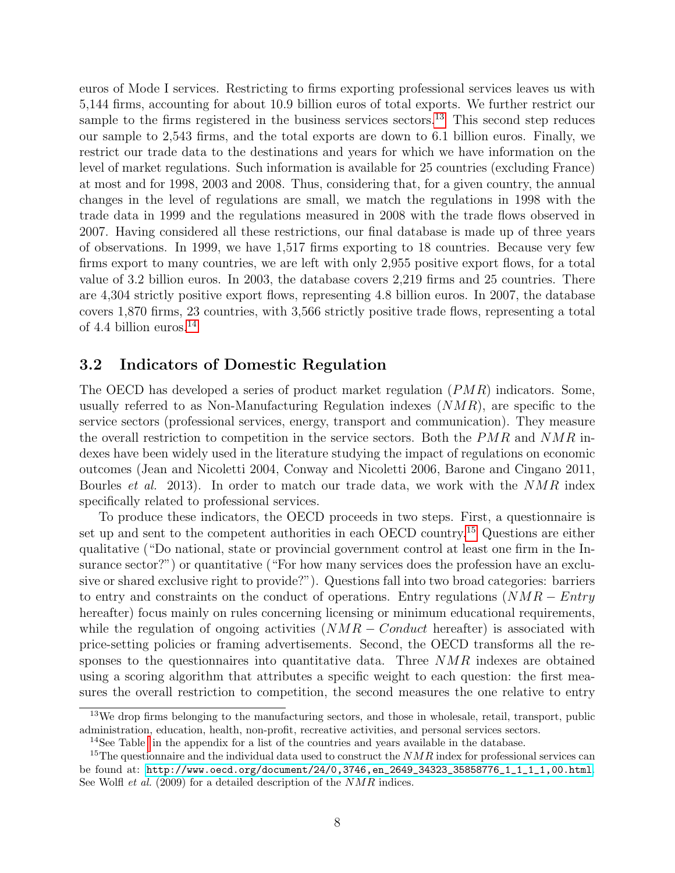euros of Mode I services. Restricting to firms exporting professional services leaves us with 5,144 firms, accounting for about 10.9 billion euros of total exports. We further restrict our sample to the firms registered in the business services sectors.<sup>[13](#page-10-0)</sup> This second step reduces our sample to 2,543 firms, and the total exports are down to 6.1 billion euros. Finally, we restrict our trade data to the destinations and years for which we have information on the level of market regulations. Such information is available for 25 countries (excluding France) at most and for 1998, 2003 and 2008. Thus, considering that, for a given country, the annual changes in the level of regulations are small, we match the regulations in 1998 with the trade data in 1999 and the regulations measured in 2008 with the trade flows observed in 2007. Having considered all these restrictions, our final database is made up of three years of observations. In 1999, we have 1,517 firms exporting to 18 countries. Because very few firms export to many countries, we are left with only 2,955 positive export flows, for a total value of 3.2 billion euros. In 2003, the database covers 2,219 firms and 25 countries. There are 4,304 strictly positive export flows, representing 4.8 billion euros. In 2007, the database covers 1,870 firms, 23 countries, with 3,566 strictly positive trade flows, representing a total of 4.4 billion euros. $^{14}$  $^{14}$  $^{14}$ 

#### 3.2 Indicators of Domestic Regulation

The OECD has developed a series of product market regulation (PMR) indicators. Some, usually referred to as Non-Manufacturing Regulation indexes  $(NMR)$ , are specific to the service sectors (professional services, energy, transport and communication). They measure the overall restriction to competition in the service sectors. Both the  $PMR$  and  $NMR$  indexes have been widely used in the literature studying the impact of regulations on economic outcomes (Jean and Nicoletti 2004, Conway and Nicoletti 2006, Barone and Cingano 2011, Bourles et al. 2013). In order to match our trade data, we work with the NMR index specifically related to professional services.

To produce these indicators, the OECD proceeds in two steps. First, a questionnaire is set up and sent to the competent authorities in each OECD country.<sup>[15](#page-10-2)</sup> Questions are either qualitative ("Do national, state or provincial government control at least one firm in the Insurance sector?") or quantitative ("For how many services does the profession have an exclusive or shared exclusive right to provide?"). Questions fall into two broad categories: barriers to entry and constraints on the conduct of operations. Entry regulations  $(NMR - Entry)$ hereafter) focus mainly on rules concerning licensing or minimum educational requirements, while the regulation of ongoing activities  $(NMR - Conduct)$  hereafter) is associated with price-setting policies or framing advertisements. Second, the OECD transforms all the responses to the questionnaires into quantitative data. Three NMR indexes are obtained using a scoring algorithm that attributes a specific weight to each question: the first measures the overall restriction to competition, the second measures the one relative to entry

<span id="page-10-0"></span><sup>&</sup>lt;sup>13</sup>We drop firms belonging to the manufacturing sectors, and those in wholesale, retail, transport, public administration, education, health, non-profit, recreative activities, and personal services sectors.

<span id="page-10-2"></span><span id="page-10-1"></span><sup>&</sup>lt;sup>14</sup>See Table in the appendix for a list of the countries and years available in the database.

<sup>&</sup>lt;sup>15</sup>The questionnaire and the individual data used to construct the  $NMR$  index for professional services can be found at: [http://www.oecd.org/document/24/0,3746,en\\_2649\\_34323\\_35858776\\_1\\_1\\_1\\_1,00.html](http://www.oecd.org/document/24/0,3746,en_2649_34323_35858776_1_1_1_1,00.html). See Wolfl *et al.* (2009) for a detailed description of the NMR indices.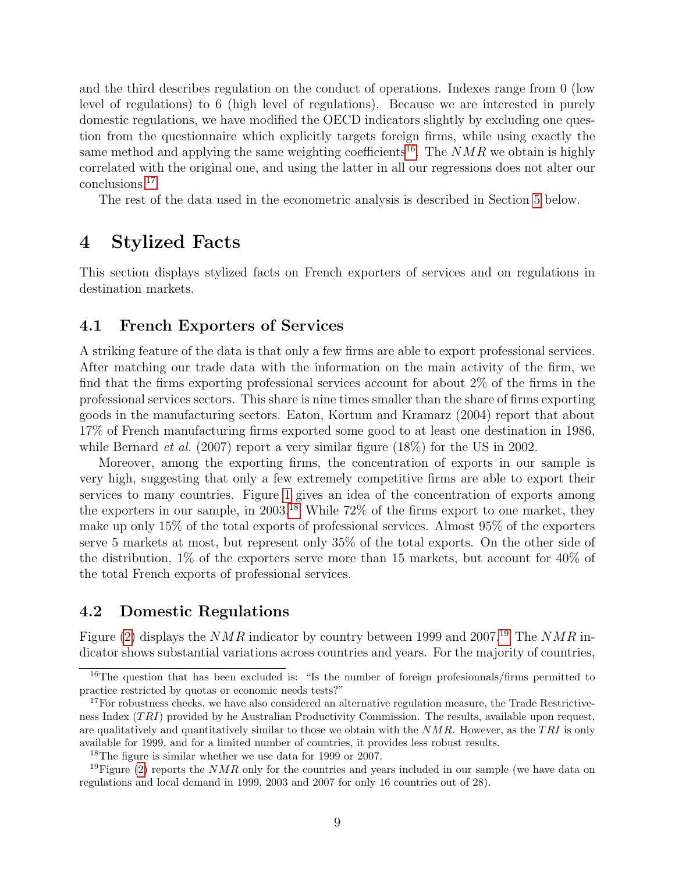and the third describes regulation on the conduct of operations. Indexes range from 0 (low level of regulations) to 6 (high level of regulations). Because we are interested in purely domestic regulations, we have modified the OECD indicators slightly by excluding one question from the questionnaire which explicitly targets foreign firms, while using exactly the same method and applying the same weighting coefficients<sup>[16](#page-11-0)</sup>. The  $NMR$  we obtain is highly correlated with the original one, and using the latter in all our regressions does not alter our conclusions.[17](#page-11-1)

The rest of the data used in the econometric analysis is described in Section [5](#page-14-0) below.

## 4 Stylized Facts

This section displays stylized facts on French exporters of services and on regulations in destination markets.

#### 4.1 French Exporters of Services

A striking feature of the data is that only a few firms are able to export professional services. After matching our trade data with the information on the main activity of the firm, we find that the firms exporting professional services account for about 2% of the firms in the professional services sectors. This share is nine times smaller than the share of firms exporting goods in the manufacturing sectors. Eaton, Kortum and Kramarz (2004) report that about 17% of French manufacturing firms exported some good to at least one destination in 1986, while Bernard *et al.* (2007) report a very similar figure  $(18\%)$  for the US in 2002.

Moreover, among the exporting firms, the concentration of exports in our sample is very high, suggesting that only a few extremely competitive firms are able to export their services to many countries. Figure [1](#page-12-0) gives an idea of the concentration of exports among the exporters in our sample, in 2003.[18](#page-11-2) While 72% of the firms export to one market, they make up only 15% of the total exports of professional services. Almost 95% of the exporters serve 5 markets at most, but represent only 35% of the total exports. On the other side of the distribution, 1% of the exporters serve more than 15 markets, but account for 40% of the total French exports of professional services.

#### 4.2 Domestic Regulations

Figure [\(2\)](#page-12-1) displays the NMR indicator by country between [19](#page-11-3)99 and 2007.<sup>19</sup> The NMR indicator shows substantial variations across countries and years. For the majority of countries,

<span id="page-11-3"></span><span id="page-11-2"></span> $18$ The figure is similar whether we use data for 1999 or 2007.

<span id="page-11-0"></span><sup>&</sup>lt;sup>16</sup>The question that has been excluded is: "Is the number of foreign profesionnals/firms permitted to practice restricted by quotas or economic needs tests?"

<span id="page-11-1"></span><sup>&</sup>lt;sup>17</sup>For robustness checks, we have also considered an alternative regulation measure, the Trade Restrictiveness Index  $(TRI)$  provided by he Australian Productivity Commission. The results, available upon request, are qualitatively and quantitatively similar to those we obtain with the  $NMR$ . However, as the TRI is only available for 1999, and for a limited number of countries, it provides less robust results.

<sup>&</sup>lt;sup>19</sup>Figure [\(2\)](#page-12-1) reports the *NMR* only for the countries and years included in our sample (we have data on regulations and local demand in 1999, 2003 and 2007 for only 16 countries out of 28).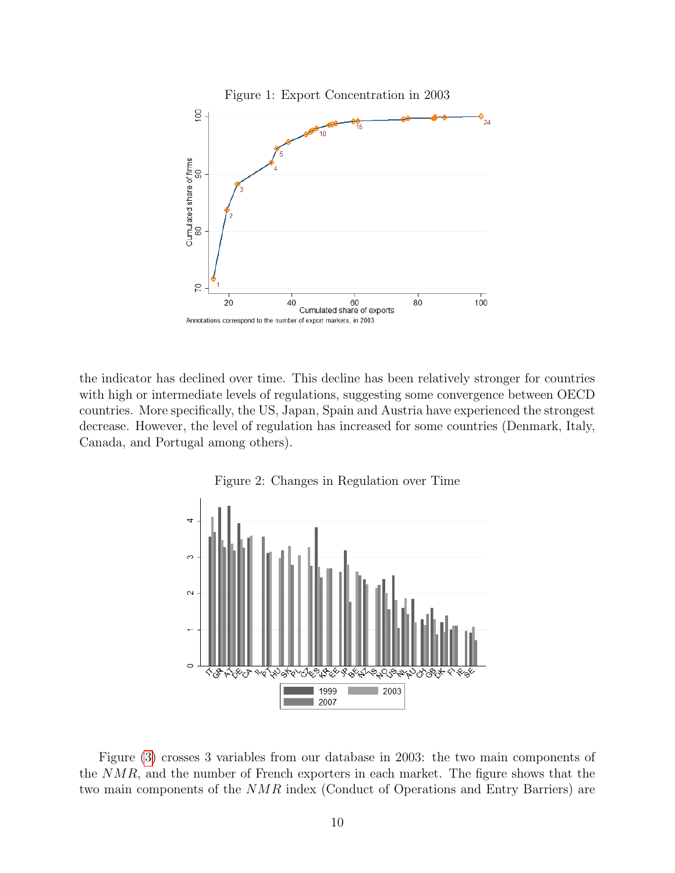<span id="page-12-0"></span>

the indicator has declined over time. This decline has been relatively stronger for countries with high or intermediate levels of regulations, suggesting some convergence between OECD countries. More specifically, the US, Japan, Spain and Austria have experienced the strongest decrease. However, the level of regulation has increased for some countries (Denmark, Italy, Canada, and Portugal among others).



<span id="page-12-1"></span>Figure 2: Changes in Regulation over Time

Figure [\(3\)](#page-13-0) crosses 3 variables from our database in 2003: the two main components of the NMR, and the number of French exporters in each market. The figure shows that the two main components of the NMR index (Conduct of Operations and Entry Barriers) are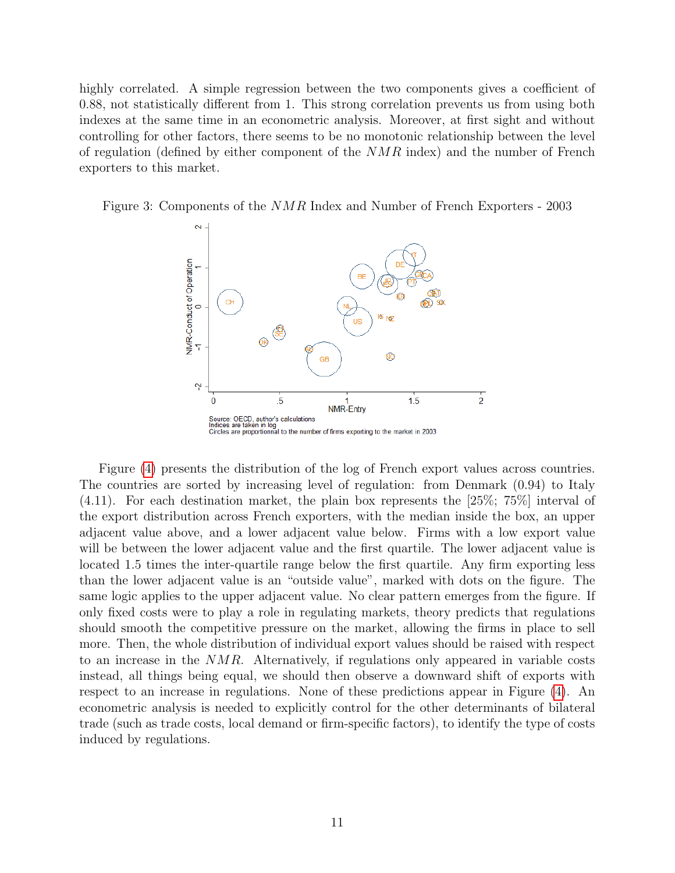highly correlated. A simple regression between the two components gives a coefficient of 0.88, not statistically different from 1. This strong correlation prevents us from using both indexes at the same time in an econometric analysis. Moreover, at first sight and without controlling for other factors, there seems to be no monotonic relationship between the level of regulation (defined by either component of the NMR index) and the number of French exporters to this market.

Figure 3: Components of the NMR Index and Number of French Exporters - 2003

<span id="page-13-0"></span>

Figure [\(4\)](#page-14-1) presents the distribution of the log of French export values across countries. The countries are sorted by increasing level of regulation: from Denmark (0.94) to Italy (4.11). For each destination market, the plain box represents the [25%; 75%] interval of the export distribution across French exporters, with the median inside the box, an upper adjacent value above, and a lower adjacent value below. Firms with a low export value will be between the lower adjacent value and the first quartile. The lower adjacent value is located 1.5 times the inter-quartile range below the first quartile. Any firm exporting less than the lower adjacent value is an "outside value", marked with dots on the figure. The same logic applies to the upper adjacent value. No clear pattern emerges from the figure. If only fixed costs were to play a role in regulating markets, theory predicts that regulations should smooth the competitive pressure on the market, allowing the firms in place to sell more. Then, the whole distribution of individual export values should be raised with respect to an increase in the NMR. Alternatively, if regulations only appeared in variable costs instead, all things being equal, we should then observe a downward shift of exports with respect to an increase in regulations. None of these predictions appear in Figure [\(4\)](#page-14-1). An econometric analysis is needed to explicitly control for the other determinants of bilateral trade (such as trade costs, local demand or firm-specific factors), to identify the type of costs induced by regulations.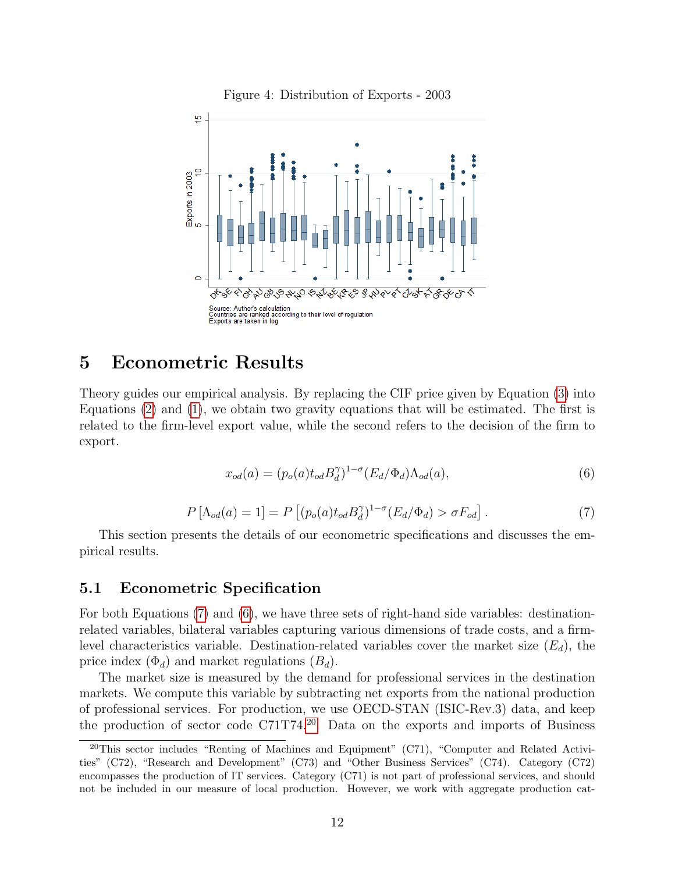<span id="page-14-1"></span>

## <span id="page-14-0"></span>5 Econometric Results

Theory guides our empirical analysis. By replacing the CIF price given by Equation [\(3\)](#page-7-3) into Equations [\(2\)](#page-7-2) and [\(1\)](#page-6-1), we obtain two gravity equations that will be estimated. The first is related to the firm-level export value, while the second refers to the decision of the firm to export.

<span id="page-14-3"></span>
$$
x_{od}(a) = (p_o(a)t_{od}B_d^{\gamma})^{1-\sigma}(E_d/\Phi_d)\Lambda_{od}(a),\tag{6}
$$

<span id="page-14-2"></span>
$$
P\left[\Lambda_{od}(a) = 1\right] = P\left[\left(p_o(a)t_{od}B_d^{\gamma}\right)^{1-\sigma}(E_d/\Phi_d) > \sigma F_{od}\right].\tag{7}
$$

This section presents the details of our econometric specifications and discusses the empirical results.

#### 5.1 Econometric Specification

For both Equations [\(7\)](#page-14-2) and [\(6\)](#page-14-3), we have three sets of right-hand side variables: destinationrelated variables, bilateral variables capturing various dimensions of trade costs, and a firmlevel characteristics variable. Destination-related variables cover the market size  $(E_d)$ , the price index  $(\Phi_d)$  and market regulations  $(B_d)$ .

The market size is measured by the demand for professional services in the destination markets. We compute this variable by subtracting net exports from the national production of professional services. For production, we use OECD-STAN (ISIC-Rev.3) data, and keep the production of sector code  $C71T74$ <sup>[20](#page-14-4)</sup> Data on the exports and imports of Business

<span id="page-14-4"></span> $20$ This sector includes "Renting of Machines and Equipment" (C71), "Computer and Related Activities" (C72), "Research and Development" (C73) and "Other Business Services" (C74). Category (C72) encompasses the production of IT services. Category (C71) is not part of professional services, and should not be included in our measure of local production. However, we work with aggregate production cat-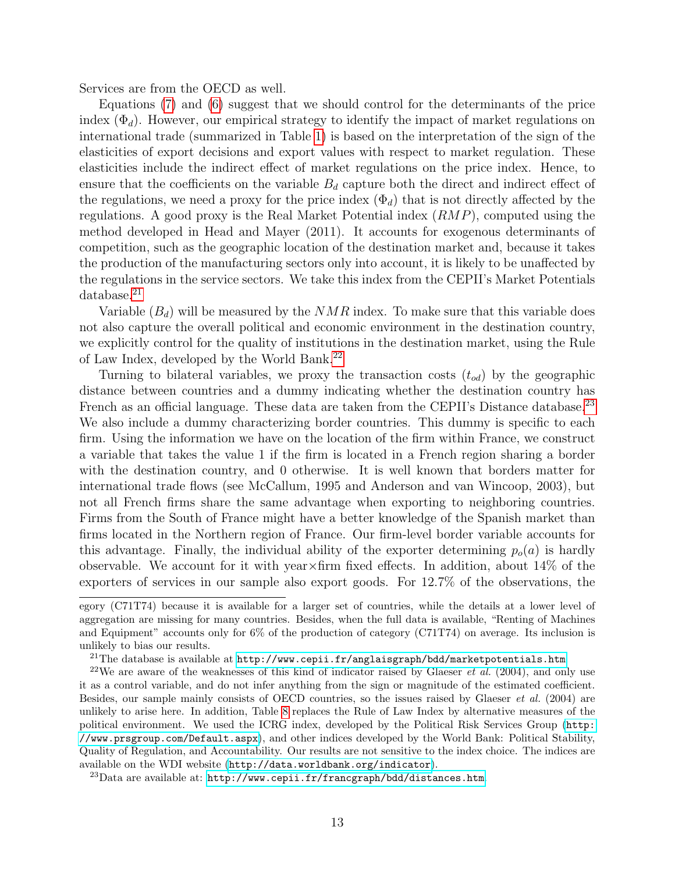Services are from the OECD as well.

Equations [\(7\)](#page-14-2) and [\(6\)](#page-14-3) suggest that we should control for the determinants of the price index  $(\Phi_d)$ . However, our empirical strategy to identify the impact of market regulations on international trade (summarized in Table [1\)](#page-8-0) is based on the interpretation of the sign of the elasticities of export decisions and export values with respect to market regulation. These elasticities include the indirect effect of market regulations on the price index. Hence, to ensure that the coefficients on the variable  $B_d$  capture both the direct and indirect effect of the regulations, we need a proxy for the price index  $(\Phi_d)$  that is not directly affected by the regulations. A good proxy is the Real Market Potential index  $(RMP)$ , computed using the method developed in Head and Mayer (2011). It accounts for exogenous determinants of competition, such as the geographic location of the destination market and, because it takes the production of the manufacturing sectors only into account, it is likely to be unaffected by the regulations in the service sectors. We take this index from the CEPII's Market Potentials database.[21](#page-15-0)

Variable  $(B_d)$  will be measured by the  $NMR$  index. To make sure that this variable does not also capture the overall political and economic environment in the destination country, we explicitly control for the quality of institutions in the destination market, using the Rule of Law Index, developed by the World Bank.[22](#page-15-1)

Turning to bilateral variables, we proxy the transaction costs  $(t_{od})$  by the geographic distance between countries and a dummy indicating whether the destination country has French as an official language. These data are taken from the CEPII's Distance database.<sup>[23](#page-15-2)</sup> We also include a dummy characterizing border countries. This dummy is specific to each firm. Using the information we have on the location of the firm within France, we construct a variable that takes the value 1 if the firm is located in a French region sharing a border with the destination country, and 0 otherwise. It is well known that borders matter for international trade flows (see McCallum, 1995 and Anderson and van Wincoop, 2003), but not all French firms share the same advantage when exporting to neighboring countries. Firms from the South of France might have a better knowledge of the Spanish market than firms located in the Northern region of France. Our firm-level border variable accounts for this advantage. Finally, the individual ability of the exporter determining  $p<sub>o</sub>(a)$  is hardly observable. We account for it with year  $\times$  firm fixed effects. In addition, about 14% of the exporters of services in our sample also export goods. For 12.7% of the observations, the

egory (C71T74) because it is available for a larger set of countries, while the details at a lower level of aggregation are missing for many countries. Besides, when the full data is available, "Renting of Machines and Equipment" accounts only for 6% of the production of category (C71T74) on average. Its inclusion is unlikely to bias our results.

<span id="page-15-1"></span><span id="page-15-0"></span><sup>&</sup>lt;sup>21</sup>The database is available at  $http://www.cepii.fr/anglaisgraph/bdd/marketpotentials.htm$ 

<sup>&</sup>lt;sup>22</sup>We are aware of the weaknesses of this kind of indicator raised by Glaeser *et al.* (2004), and only use it as a control variable, and do not infer anything from the sign or magnitude of the estimated coefficient. Besides, our sample mainly consists of OECD countries, so the issues raised by Glaeser et al. (2004) are unlikely to arise here. In addition, Table [8](#page-34-0) replaces the Rule of Law Index by alternative measures of the political environment. We used the ICRG index, developed by the Political Risk Services Group ([http:](http://www.prsgroup.com/Default.aspx) [//www.prsgroup.com/Default.aspx](http://www.prsgroup.com/Default.aspx)), and other indices developed by the World Bank: Political Stability, Quality of Regulation, and Accountability. Our results are not sensitive to the index choice. The indices are available on the WDI website (<http://data.worldbank.org/indicator>).

<span id="page-15-2"></span> $^{23}$ Data are available at: <http://www.cepii.fr/francgraph/bdd/distances.htm>.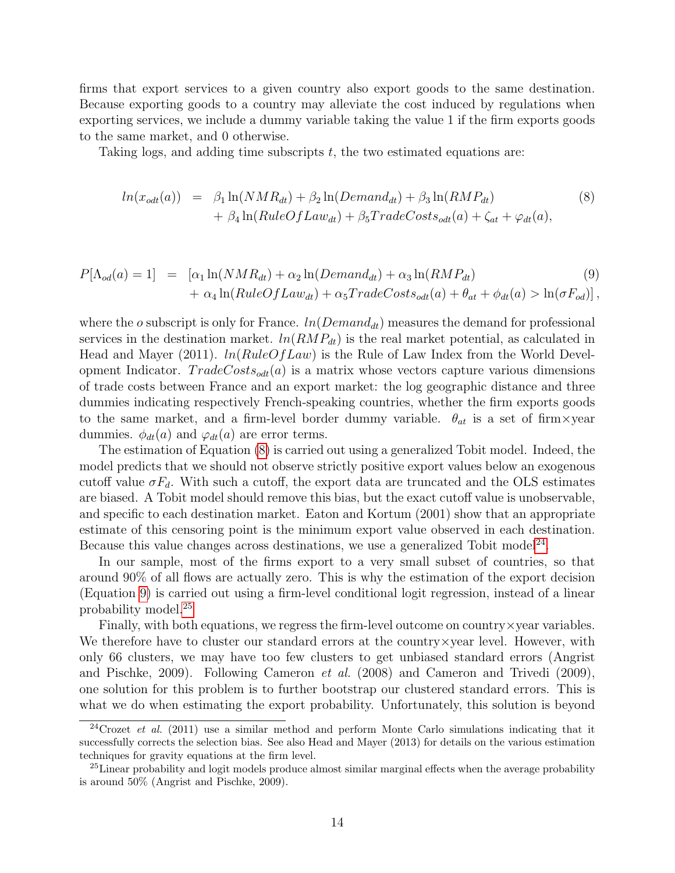firms that export services to a given country also export goods to the same destination. Because exporting goods to a country may alleviate the cost induced by regulations when exporting services, we include a dummy variable taking the value 1 if the firm exports goods to the same market, and 0 otherwise.

Taking logs, and adding time subscripts  $t$ , the two estimated equations are:

<span id="page-16-0"></span>
$$
ln(x_{odt}(a)) = \beta_1 ln(NMR_{dt}) + \beta_2 ln(Demand_{dt}) + \beta_3 ln(RMP_{dt}) + \beta_4 ln(RuleOfLaw_{dt}) + \beta_5 TradeCosts_{odt}(a) + \zeta_{at} + \varphi_{dt}(a),
$$
\n(8)

<span id="page-16-2"></span>
$$
P[\Lambda_{od}(a) = 1] = [\alpha_1 \ln(NMR_{dt}) + \alpha_2 \ln(Demand_{dt}) + \alpha_3 \ln(RMP_{dt})
$$
  
+  $\alpha_4 \ln(RuleOfLaw_{dt}) + \alpha_5 TradeCost_{odt}(a) + \theta_{at} + \phi_{dt}(a) > \ln(\sigma F_{od})],$  (9)

where the o subscript is only for France.  $ln(Demand_{dt})$  measures the demand for professional services in the destination market.  $ln(RMP_{dt})$  is the real market potential, as calculated in Head and Mayer (2011).  $ln(RuleOfLaw)$  is the Rule of Law Index from the World Development Indicator.  $TradeCost_{odt}(a)$  is a matrix whose vectors capture various dimensions of trade costs between France and an export market: the log geographic distance and three dummies indicating respectively French-speaking countries, whether the firm exports goods to the same market, and a firm-level border dummy variable.  $\theta_{at}$  is a set of firm  $\times$ year dummies.  $\phi_{dt}(a)$  and  $\varphi_{dt}(a)$  are error terms.

The estimation of Equation [\(8\)](#page-16-0) is carried out using a generalized Tobit model. Indeed, the model predicts that we should not observe strictly positive export values below an exogenous cutoff value  $\sigma F_d$ . With such a cutoff, the export data are truncated and the OLS estimates are biased. A Tobit model should remove this bias, but the exact cutoff value is unobservable, and specific to each destination market. Eaton and Kortum (2001) show that an appropriate estimate of this censoring point is the minimum export value observed in each destination. Because this value changes across destinations, we use a generalized Tobit model<sup>[24](#page-16-1)</sup>.

In our sample, most of the firms export to a very small subset of countries, so that around 90% of all flows are actually zero. This is why the estimation of the export decision (Equation [9\)](#page-16-2) is carried out using a firm-level conditional logit regression, instead of a linear probability model.[25](#page-16-3)

Finally, with both equations, we regress the firm-level outcome on country×year variables. We therefore have to cluster our standard errors at the country  $\times$  year level. However, with only 66 clusters, we may have too few clusters to get unbiased standard errors (Angrist and Pischke, 2009). Following Cameron et al. (2008) and Cameron and Trivedi (2009), one solution for this problem is to further bootstrap our clustered standard errors. This is what we do when estimating the export probability. Unfortunately, this solution is beyond

<span id="page-16-1"></span><sup>&</sup>lt;sup>24</sup>Crozet *et al.* (2011) use a similar method and perform Monte Carlo simulations indicating that it successfully corrects the selection bias. See also Head and Mayer (2013) for details on the various estimation techniques for gravity equations at the firm level.

<span id="page-16-3"></span><sup>&</sup>lt;sup>25</sup>Linear probability and logit models produce almost similar marginal effects when the average probability is around 50% (Angrist and Pischke, 2009).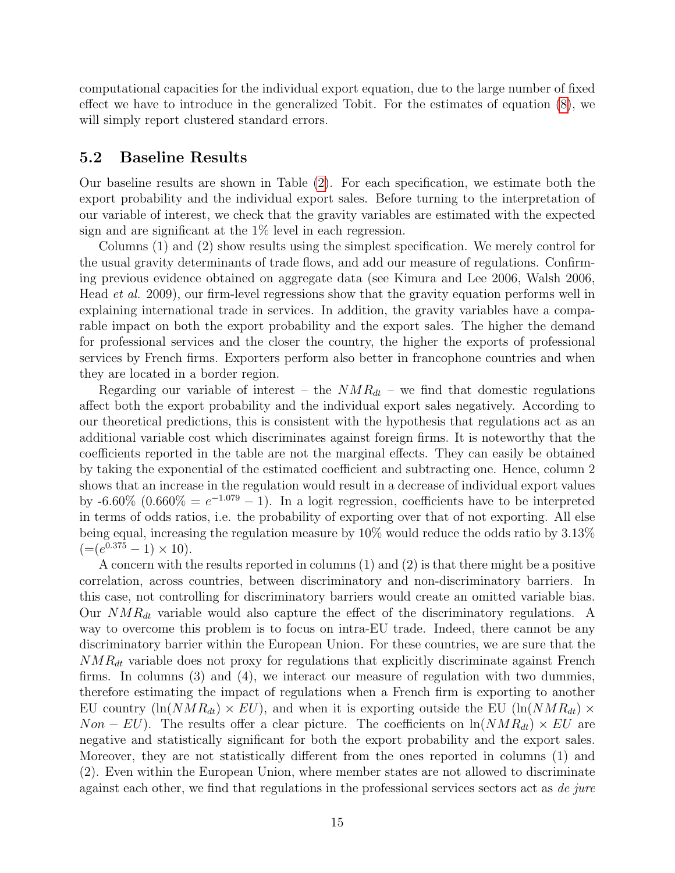computational capacities for the individual export equation, due to the large number of fixed effect we have to introduce in the generalized Tobit. For the estimates of equation [\(8\)](#page-16-0), we will simply report clustered standard errors.

#### 5.2 Baseline Results

Our baseline results are shown in Table [\(2\)](#page-18-0). For each specification, we estimate both the export probability and the individual export sales. Before turning to the interpretation of our variable of interest, we check that the gravity variables are estimated with the expected sign and are significant at the 1% level in each regression.

Columns (1) and (2) show results using the simplest specification. We merely control for the usual gravity determinants of trade flows, and add our measure of regulations. Confirming previous evidence obtained on aggregate data (see Kimura and Lee 2006, Walsh 2006, Head et al. 2009), our firm-level regressions show that the gravity equation performs well in explaining international trade in services. In addition, the gravity variables have a comparable impact on both the export probability and the export sales. The higher the demand for professional services and the closer the country, the higher the exports of professional services by French firms. Exporters perform also better in francophone countries and when they are located in a border region.

Regarding our variable of interest – the  $NMR_{dt}$  – we find that domestic regulations affect both the export probability and the individual export sales negatively. According to our theoretical predictions, this is consistent with the hypothesis that regulations act as an additional variable cost which discriminates against foreign firms. It is noteworthy that the coefficients reported in the table are not the marginal effects. They can easily be obtained by taking the exponential of the estimated coefficient and subtracting one. Hence, column 2 shows that an increase in the regulation would result in a decrease of individual export values by -6.60% (0.660% =  $e^{-1.079} - 1$ ). In a logit regression, coefficients have to be interpreted in terms of odds ratios, i.e. the probability of exporting over that of not exporting. All else being equal, increasing the regulation measure by 10% would reduce the odds ratio by 3.13%  $(=(e^{0.375}-1) \times 10).$ 

A concern with the results reported in columns (1) and (2) is that there might be a positive correlation, across countries, between discriminatory and non-discriminatory barriers. In this case, not controlling for discriminatory barriers would create an omitted variable bias. Our  $NMR_{dt}$  variable would also capture the effect of the discriminatory regulations. A way to overcome this problem is to focus on intra-EU trade. Indeed, there cannot be any discriminatory barrier within the European Union. For these countries, we are sure that the  $NMR_{dt}$  variable does not proxy for regulations that explicitly discriminate against French firms. In columns (3) and (4), we interact our measure of regulation with two dummies, therefore estimating the impact of regulations when a French firm is exporting to another EU country  $(\ln(NMR_{dt}) \times EU)$ , and when it is exporting outside the EU  $(\ln(NMR_{dt}) \times EU)$  $Non - EU$ ). The results offer a clear picture. The coefficients on  $\ln(NMR_{dt}) \times EU$  are negative and statistically significant for both the export probability and the export sales. Moreover, they are not statistically different from the ones reported in columns (1) and (2). Even within the European Union, where member states are not allowed to discriminate against each other, we find that regulations in the professional services sectors act as de jure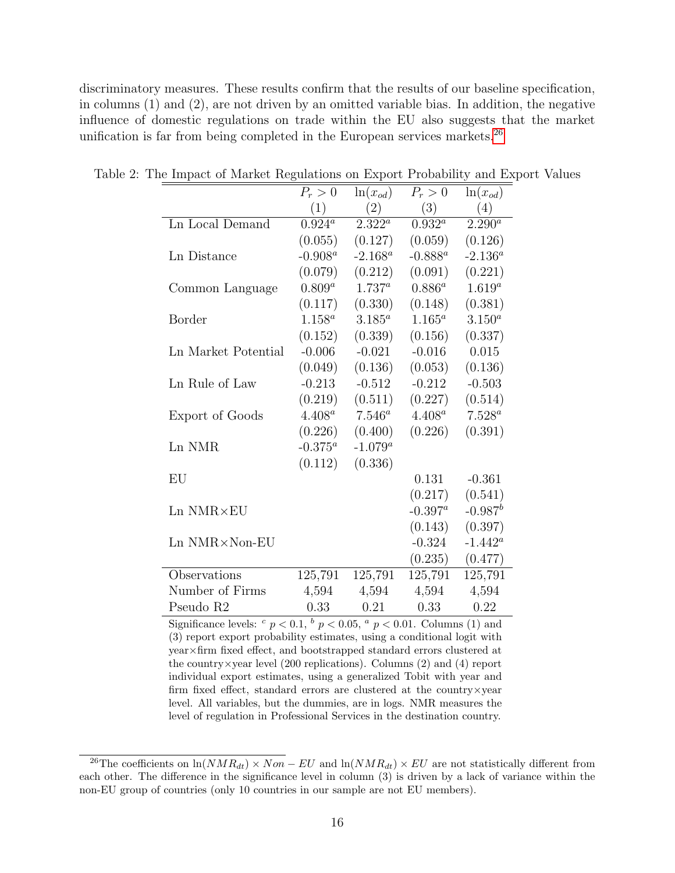discriminatory measures. These results confirm that the results of our baseline specification, in columns (1) and (2), are not driven by an omitted variable bias. In addition, the negative influence of domestic regulations on trade within the EU also suggests that the market unification is far from being completed in the European services markets.<sup>[26](#page-18-1)</sup>

<span id="page-18-0"></span>

|                          | $P_r>0$     | $\ln(x_{od})$ | $P_r>0$     | $ln(x_{od})$ |
|--------------------------|-------------|---------------|-------------|--------------|
|                          | (1)         | (2)           | (3)         | (4)          |
| Ln Local Demand          | $0.924^a$   | $2.322^a$     | $0.932^a$   | $2.290^a$    |
|                          | (0.055)     | (0.127)       | (0.059)     | (0.126)      |
| Ln Distance              | $-0.908^a$  | $-2.168^a$    | $-0.888^a$  | $-2.136^a$   |
|                          | (0.079)     | (0.212)       | (0.091)     | (0.221)      |
| Common Language          | $0.809^{a}$ | $1.737^a$     | $0.886^{a}$ | $1.619^{a}$  |
|                          | (0.117)     | (0.330)       | (0.148)     | (0.381)      |
| Border                   | $1.158^a$   | $3.185^a$     | $1.165^a$   | $3.150^a$    |
|                          | (0.152)     | (0.339)       | (0.156)     | (0.337)      |
| Ln Market Potential      | $-0.006$    | $-0.021$      | $-0.016$    | 0.015        |
|                          | (0.049)     | (0.136)       | (0.053)     | (0.136)      |
| Ln Rule of Law           | $-0.213$    | $-0.512$      | $-0.212$    | $-0.503$     |
|                          | (0.219)     | (0.511)       | (0.227)     | (0.514)      |
| Export of Goods          | $4.408^a$   | $7.546^a$     | $4.408^a$   | $7.528^a$    |
|                          | (0.226)     | (0.400)       | (0.226)     | (0.391)      |
| Ln NMR                   | $-0.375^a$  | $-1.079^a$    |             |              |
|                          | (0.112)     | (0.336)       |             |              |
| EU                       |             |               | 0.131       | $-0.361$     |
|                          |             |               | (0.217)     | (0.541)      |
| $Ln$ $NMR \times EU$     |             |               | $-0.397^a$  | $-0.987^b$   |
|                          |             |               | (0.143)     | (0.397)      |
| $Ln$ NMR $\times$ Non-EU |             |               | $-0.324$    | $-1.442^a$   |
|                          |             |               | (0.235)     | (0.477)      |
| Observations             | 125,791     | 125,791       | 125,791     | 125,791      |
| Number of Firms          | 4,594       | 4,594         | 4,594       | 4,594        |
| Pseudo R <sub>2</sub>    | 0.33        | 0.21          | 0.33        | 0.22         |

Table 2: The Impact of Market Regulations on Export Probability and Export Values

Significance levels:  $c$   $p < 0.1$ ,  $b$   $p < 0.05$ ,  $a$   $p < 0.01$ . Columns (1) and (3) report export probability estimates, using a conditional logit with year×firm fixed effect, and bootstrapped standard errors clustered at the country  $\times$  year level (200 replications). Columns (2) and (4) report individual export estimates, using a generalized Tobit with year and firm fixed effect, standard errors are clustered at the country×year level. All variables, but the dummies, are in logs. NMR measures the level of regulation in Professional Services in the destination country.

<span id="page-18-1"></span><sup>&</sup>lt;sup>26</sup>The coefficients on ln( $NMR_{dt}$ ) ×  $Non-EU$  and ln( $NMR_{dt}$ ) × EU are not statistically different from each other. The difference in the significance level in column (3) is driven by a lack of variance within the non-EU group of countries (only 10 countries in our sample are not EU members).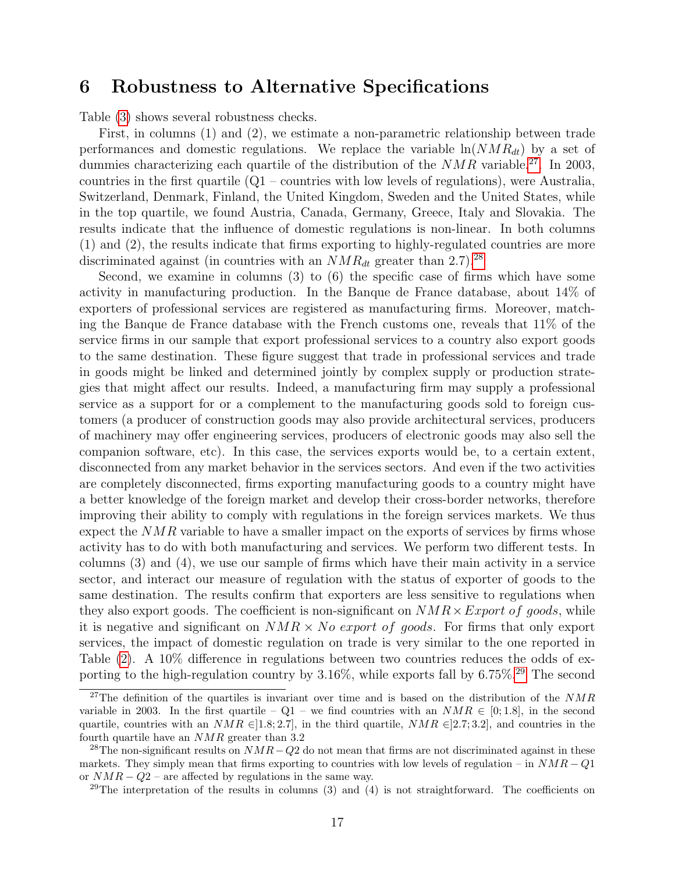## 6 Robustness to Alternative Specifications

Table [\(3\)](#page-21-0) shows several robustness checks.

First, in columns (1) and (2), we estimate a non-parametric relationship between trade performances and domestic regulations. We replace the variable  $\ln(NMR_{dt})$  by a set of dummies characterizing each quartile of the distribution of the  $NMR$  variable.<sup>[27](#page-19-0)</sup>. In 2003, countries in the first quartile (Q1 – countries with low levels of regulations), were Australia, Switzerland, Denmark, Finland, the United Kingdom, Sweden and the United States, while in the top quartile, we found Austria, Canada, Germany, Greece, Italy and Slovakia. The results indicate that the influence of domestic regulations is non-linear. In both columns (1) and (2), the results indicate that firms exporting to highly-regulated countries are more discriminated against (in countries with an  $NMR_{dt}$  greater than 2.7).<sup>[28](#page-19-1)</sup>

Second, we examine in columns (3) to (6) the specific case of firms which have some activity in manufacturing production. In the Banque de France database, about 14% of exporters of professional services are registered as manufacturing firms. Moreover, matching the Banque de France database with the French customs one, reveals that 11% of the service firms in our sample that export professional services to a country also export goods to the same destination. These figure suggest that trade in professional services and trade in goods might be linked and determined jointly by complex supply or production strategies that might affect our results. Indeed, a manufacturing firm may supply a professional service as a support for or a complement to the manufacturing goods sold to foreign customers (a producer of construction goods may also provide architectural services, producers of machinery may offer engineering services, producers of electronic goods may also sell the companion software, etc). In this case, the services exports would be, to a certain extent, disconnected from any market behavior in the services sectors. And even if the two activities are completely disconnected, firms exporting manufacturing goods to a country might have a better knowledge of the foreign market and develop their cross-border networks, therefore improving their ability to comply with regulations in the foreign services markets. We thus expect the  $NMR$  variable to have a smaller impact on the exports of services by firms whose activity has to do with both manufacturing and services. We perform two different tests. In columns (3) and (4), we use our sample of firms which have their main activity in a service sector, and interact our measure of regulation with the status of exporter of goods to the same destination. The results confirm that exporters are less sensitive to regulations when they also export goods. The coefficient is non-significant on  $NMR \times Expert$  of goods, while it is negative and significant on  $NMR \times No$  export of goods. For firms that only export services, the impact of domestic regulation on trade is very similar to the one reported in Table [\(2\)](#page-18-0). A 10% difference in regulations between two countries reduces the odds of exporting to the high-regulation country by  $3.16\%$ , while exports fall by  $6.75\%$ <sup>[29](#page-19-2)</sup> The second

<span id="page-19-0"></span><sup>&</sup>lt;sup>27</sup>The definition of the quartiles is invariant over time and is based on the distribution of the  $NMR$ variable in 2003. In the first quartile – Q1 – we find countries with an  $NMR \in [0,1.8]$ , in the second quartile, countries with an  $NMR \in ]1.8; 2.7]$ , in the third quartile,  $NMR \in ]2.7; 3.2]$ , and countries in the fourth quartile have an NMR greater than 3.2

<span id="page-19-1"></span><sup>&</sup>lt;sup>28</sup>The non-significant results on  $NMR-Q2$  do not mean that firms are not discriminated against in these markets. They simply mean that firms exporting to countries with low levels of regulation – in  $NMR - Q1$ or  $NMR - Q2$  – are affected by regulations in the same way.

<span id="page-19-2"></span> $29$ The interpretation of the results in columns (3) and (4) is not straightforward. The coefficients on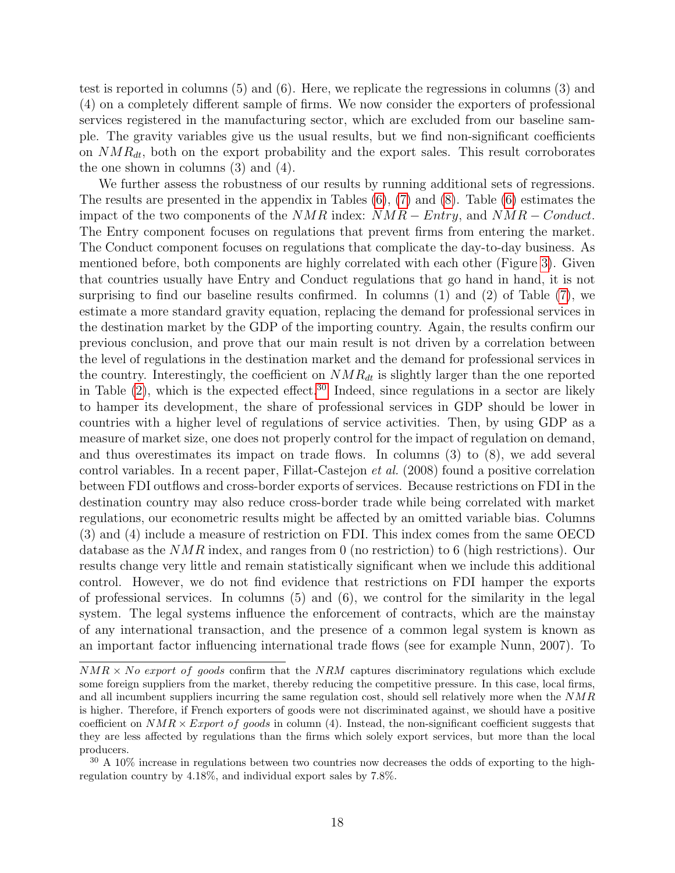test is reported in columns (5) and (6). Here, we replicate the regressions in columns (3) and (4) on a completely different sample of firms. We now consider the exporters of professional services registered in the manufacturing sector, which are excluded from our baseline sample. The gravity variables give us the usual results, but we find non-significant coefficients on  $NMR_{dt}$ , both on the export probability and the export sales. This result corroborates the one shown in columns (3) and (4).

We further assess the robustness of our results by running additional sets of regressions. The results are presented in the appendix in Tables  $(6)$ ,  $(7)$  and  $(8)$ . Table  $(6)$  estimates the impact of the two components of the  $NMR$  index:  $NMR - Entry$ , and  $NMR - Conduct$ . The Entry component focuses on regulations that prevent firms from entering the market. The Conduct component focuses on regulations that complicate the day-to-day business. As mentioned before, both components are highly correlated with each other (Figure [3\)](#page-13-0). Given that countries usually have Entry and Conduct regulations that go hand in hand, it is not surprising to find our baseline results confirmed. In columns (1) and (2) of Table [\(7\)](#page-33-0), we estimate a more standard gravity equation, replacing the demand for professional services in the destination market by the GDP of the importing country. Again, the results confirm our previous conclusion, and prove that our main result is not driven by a correlation between the level of regulations in the destination market and the demand for professional services in the country. Interestingly, the coefficient on  $NMR_{dt}$  is slightly larger than the one reported in Table  $(2)$ , which is the expected effect.<sup>[30](#page-20-0)</sup> Indeed, since regulations in a sector are likely to hamper its development, the share of professional services in GDP should be lower in countries with a higher level of regulations of service activities. Then, by using GDP as a measure of market size, one does not properly control for the impact of regulation on demand, and thus overestimates its impact on trade flows. In columns (3) to (8), we add several control variables. In a recent paper, Fillat-Castejon et al. (2008) found a positive correlation between FDI outflows and cross-border exports of services. Because restrictions on FDI in the destination country may also reduce cross-border trade while being correlated with market regulations, our econometric results might be affected by an omitted variable bias. Columns (3) and (4) include a measure of restriction on FDI. This index comes from the same OECD database as the NMR index, and ranges from 0 (no restriction) to 6 (high restrictions). Our results change very little and remain statistically significant when we include this additional control. However, we do not find evidence that restrictions on FDI hamper the exports of professional services. In columns (5) and (6), we control for the similarity in the legal system. The legal systems influence the enforcement of contracts, which are the mainstay of any international transaction, and the presence of a common legal system is known as an important factor influencing international trade flows (see for example Nunn, 2007). To

 $NMR \times No$  export of goods confirm that the NRM captures discriminatory regulations which exclude some foreign suppliers from the market, thereby reducing the competitive pressure. In this case, local firms, and all incumbent suppliers incurring the same regulation cost, should sell relatively more when the NMR is higher. Therefore, if French exporters of goods were not discriminated against, we should have a positive coefficient on  $NMR \times Expert$  of goods in column (4). Instead, the non-significant coefficient suggests that they are less affected by regulations than the firms which solely export services, but more than the local producers.

<span id="page-20-0"></span><sup>&</sup>lt;sup>30</sup> A 10% increase in regulations between two countries now decreases the odds of exporting to the highregulation country by 4.18%, and individual export sales by 7.8%.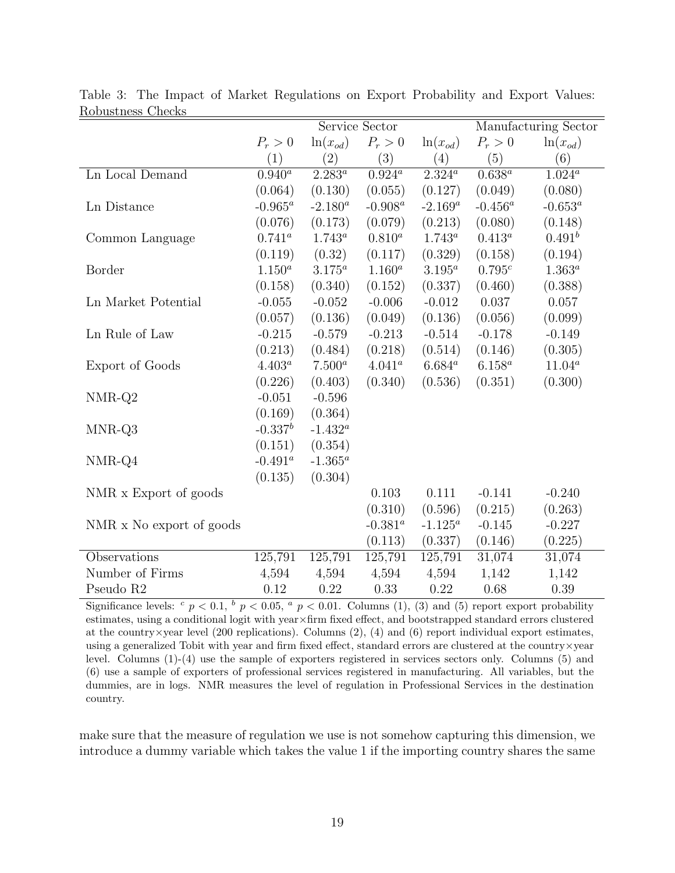|                          |             | Service Sector | Manufacturing Sector |               |             |                        |
|--------------------------|-------------|----------------|----------------------|---------------|-------------|------------------------|
|                          | $P_r > 0$   | $ln(x_{od})$   | $P_r>0$              | $\ln(x_{od})$ | $P_r>0$     | $\ln(x_{od})$          |
|                          | (1)         | (2)            | (3)                  | (4)           | (5)         | (6)                    |
| Ln Local Demand          | $0.940^a$   | $2.283^{a}$    | $0.924^a$            | $2.324^a$     | $0.638^{a}$ | $1.024^{\overline{a}}$ |
|                          | (0.064)     | (0.130)        | (0.055)              | (0.127)       | (0.049)     | (0.080)                |
| Ln Distance              | $-0.965^a$  | $-2.180^a$     | $-0.908^a$           | $-2.169^a$    | $-0.456^a$  | $-0.653^a$             |
|                          | (0.076)     | (0.173)        | (0.079)              | (0.213)       | (0.080)     | (0.148)                |
| Common Language          | $0.741^a$   | $1.743^a$      | $0.810^{a}$          | $1.743^a$     | $0.413^{a}$ | $0.491^{b}$            |
|                          | (0.119)     | (0.32)         | (0.117)              | (0.329)       | (0.158)     | (0.194)                |
| Border                   | $1.150^{a}$ | $3.175^a$      | $1.160^{a}$          | $3.195^a$     | $0.795^c$   | $1.363^{a}$            |
|                          | (0.158)     | (0.340)        | (0.152)              | (0.337)       | (0.460)     | (0.388)                |
| Ln Market Potential      | $-0.055$    | $-0.052$       | $-0.006$             | $-0.012$      | 0.037       | 0.057                  |
|                          | (0.057)     | (0.136)        | (0.049)              | (0.136)       | (0.056)     | (0.099)                |
| Ln Rule of Law           | $-0.215$    | $-0.579$       | $-0.213$             | $-0.514$      | $-0.178$    | $-0.149$               |
|                          | (0.213)     | (0.484)        | (0.218)              | (0.514)       | (0.146)     | (0.305)                |
| Export of Goods          | $4.403^a$   | $7.500^a$      | $4.041^a$            | $6.684^a$     | $6.158^a$   | $11.04^a$              |
|                          | (0.226)     | (0.403)        | (0.340)              | (0.536)       | (0.351)     | (0.300)                |
| NMR-Q2                   | $-0.051$    | $-0.596$       |                      |               |             |                        |
|                          | (0.169)     | (0.364)        |                      |               |             |                        |
| MNR-Q3                   | $-0.337^b$  | $-1.432^a$     |                      |               |             |                        |
|                          | (0.151)     | (0.354)        |                      |               |             |                        |
| NMR-Q4                   | $-0.491^a$  | $-1.365^a$     |                      |               |             |                        |
|                          | (0.135)     | (0.304)        |                      |               |             |                        |
| NMR x Export of goods    |             |                | 0.103                | 0.111         | $-0.141$    | $-0.240$               |
|                          |             |                | (0.310)              | (0.596)       | (0.215)     | (0.263)                |
| NMR x No export of goods |             |                | $-0.381^a$           | $-1.125^a$    | $-0.145$    | $-0.227$               |
|                          |             |                | (0.113)              | (0.337)       | (0.146)     | (0.225)                |
| Observations             | 125,791     | 125,791        | 125,791              | 125,791       | 31,074      | 31,074                 |
| Number of Firms          | 4,594       | 4,594          | 4,594                | 4,594         | 1,142       | 1,142                  |
| Pseudo R2                | 0.12        | 0.22           | 0.33                 | 0.22          | 0.68        | 0.39                   |

<span id="page-21-0"></span>Table 3: The Impact of Market Regulations on Export Probability and Export Values: Robustness Checks

Significance levels:  $c$   $p < 0.1$ ,  $b$   $p < 0.05$ ,  $a$   $p < 0.01$ . Columns (1), (3) and (5) report export probability estimates, using a conditional logit with year×firm fixed effect, and bootstrapped standard errors clustered at the country  $\times$ year level (200 replications). Columns (2), (4) and (6) report individual export estimates, using a generalized Tobit with year and firm fixed effect, standard errors are clustered at the country×year level. Columns (1)-(4) use the sample of exporters registered in services sectors only. Columns (5) and (6) use a sample of exporters of professional services registered in manufacturing. All variables, but the dummies, are in logs. NMR measures the level of regulation in Professional Services in the destination country.

make sure that the measure of regulation we use is not somehow capturing this dimension, we introduce a dummy variable which takes the value 1 if the importing country shares the same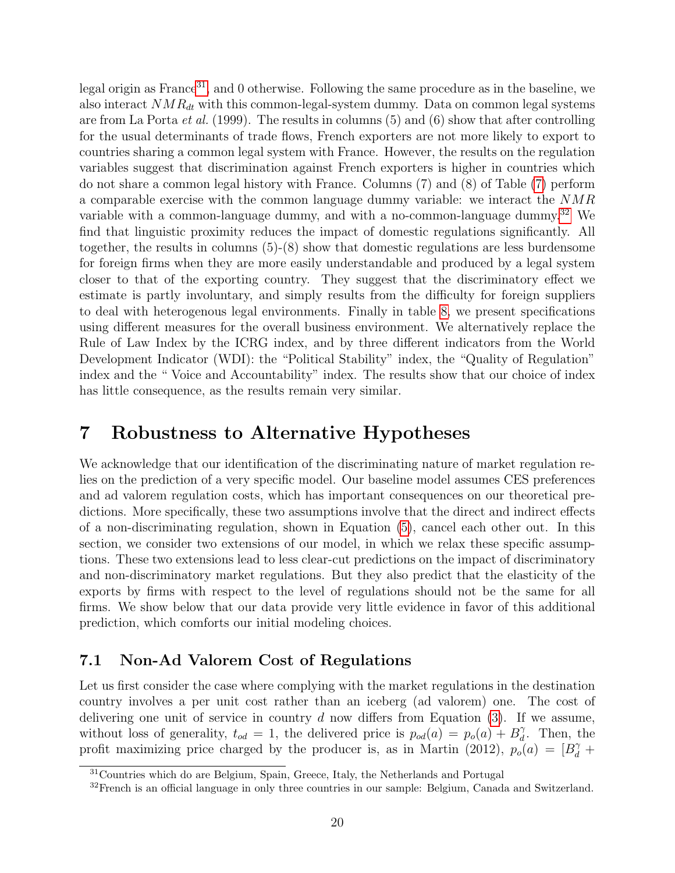legal origin as France<sup>[31](#page-22-0)</sup>, and 0 otherwise. Following the same procedure as in the baseline, we also interact  $NMR_{dt}$  with this common-legal-system dummy. Data on common legal systems are from La Porta et al. (1999). The results in columns (5) and (6) show that after controlling for the usual determinants of trade flows, French exporters are not more likely to export to countries sharing a common legal system with France. However, the results on the regulation variables suggest that discrimination against French exporters is higher in countries which do not share a common legal history with France. Columns (7) and (8) of Table [\(7\)](#page-33-0) perform a comparable exercise with the common language dummy variable: we interact the NMR variable with a common-language dummy, and with a no-common-language dummy.<sup>[32](#page-22-1)</sup> We find that linguistic proximity reduces the impact of domestic regulations significantly. All together, the results in columns (5)-(8) show that domestic regulations are less burdensome for foreign firms when they are more easily understandable and produced by a legal system closer to that of the exporting country. They suggest that the discriminatory effect we estimate is partly involuntary, and simply results from the difficulty for foreign suppliers to deal with heterogenous legal environments. Finally in table [8,](#page-34-0) we present specifications using different measures for the overall business environment. We alternatively replace the Rule of Law Index by the ICRG index, and by three different indicators from the World Development Indicator (WDI): the "Political Stability" index, the "Quality of Regulation" index and the " Voice and Accountability" index. The results show that our choice of index has little consequence, as the results remain very similar.

## 7 Robustness to Alternative Hypotheses

We acknowledge that our identification of the discriminating nature of market regulation relies on the prediction of a very specific model. Our baseline model assumes CES preferences and ad valorem regulation costs, which has important consequences on our theoretical predictions. More specifically, these two assumptions involve that the direct and indirect effects of a non-discriminating regulation, shown in Equation [\(5\)](#page-7-1), cancel each other out. In this section, we consider two extensions of our model, in which we relax these specific assumptions. These two extensions lead to less clear-cut predictions on the impact of discriminatory and non-discriminatory market regulations. But they also predict that the elasticity of the exports by firms with respect to the level of regulations should not be the same for all firms. We show below that our data provide very little evidence in favor of this additional prediction, which comforts our initial modeling choices.

#### 7.1 Non-Ad Valorem Cost of Regulations

Let us first consider the case where complying with the market regulations in the destination country involves a per unit cost rather than an iceberg (ad valorem) one. The cost of delivering one unit of service in country  $d$  now differs from Equation  $(3)$ . If we assume, without loss of generality,  $t_{od} = 1$ , the delivered price is  $p_{od}(a) = p_o(a) + B_d^{\gamma}$  $\tilde{d}$ . Then, the profit maximizing price charged by the producer is, as in Martin (2012),  $p_o(a) = [B_d^{\gamma} +$ 

<span id="page-22-0"></span><sup>&</sup>lt;sup>31</sup>Countries which do are Belgium, Spain, Greece, Italy, the Netherlands and Portugal

<span id="page-22-1"></span><sup>&</sup>lt;sup>32</sup>French is an official language in only three countries in our sample: Belgium, Canada and Switzerland.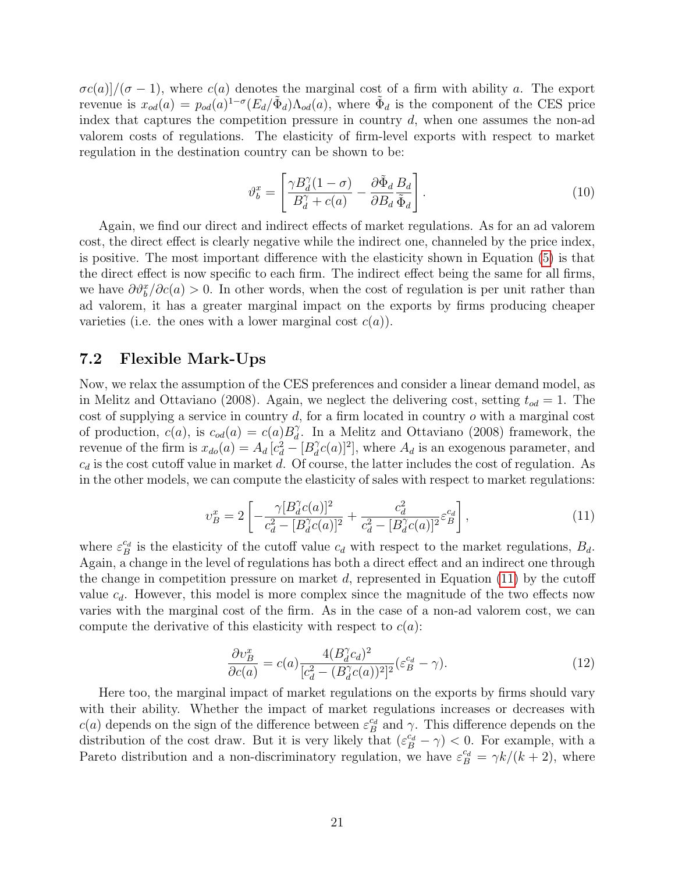$\sigma c(a)/(\sigma-1)$ , where  $c(a)$  denotes the marginal cost of a firm with ability a. The export revenue is  $x_{od}(a) = p_{od}(a)^{1-\sigma} (E_d/\tilde{\Phi}_d) \Lambda_{od}(a)$ , where  $\tilde{\Phi}_d$  is the component of the CES price index that captures the competition pressure in country  $d$ , when one assumes the non-ad valorem costs of regulations. The elasticity of firm-level exports with respect to market regulation in the destination country can be shown to be:

$$
\vartheta_b^x = \left[ \frac{\gamma B_d^{\gamma} (1 - \sigma)}{B_d^{\gamma} + c(a)} - \frac{\partial \tilde{\Phi}_d}{\partial B_d} \frac{B_d}{\tilde{\Phi}_d} \right].
$$
\n(10)

Again, we find our direct and indirect effects of market regulations. As for an ad valorem cost, the direct effect is clearly negative while the indirect one, channeled by the price index, is positive. The most important difference with the elasticity shown in Equation [\(5\)](#page-7-1) is that the direct effect is now specific to each firm. The indirect effect being the same for all firms, we have  $\partial \vartheta_b^x / \partial c(a) > 0$ . In other words, when the cost of regulation is per unit rather than ad valorem, it has a greater marginal impact on the exports by firms producing cheaper varieties (i.e. the ones with a lower marginal cost  $c(a)$ ).

#### 7.2 Flexible Mark-Ups

Now, we relax the assumption of the CES preferences and consider a linear demand model, as in Melitz and Ottaviano (2008). Again, we neglect the delivering cost, setting  $t_{od} = 1$ . The cost of supplying a service in country  $d$ , for a firm located in country  $o$  with a marginal cost of production,  $c(a)$ , is  $c_{od}(a) = c(a)B_d^{\gamma}$  $\hat{d}$ . In a Melitz and Ottaviano (2008) framework, the revenue of the firm is  $x_{do}(a) = A_d [c_d^2 - [B_d^2]$  $\partial_d^{\gamma}c(a)]^2$ , where  $A_d$  is an exogenous parameter, and  $c_d$  is the cost cutoff value in market d. Of course, the latter includes the cost of regulation. As in the other models, we can compute the elasticity of sales with respect to market regulations:

<span id="page-23-0"></span>
$$
v_B^x = 2 \left[ -\frac{\gamma [B_d^{\gamma} c(a)]^2}{c_d^2 - [B_d^{\gamma} c(a)]^2} + \frac{c_d^2}{c_d^2 - [B_d^{\gamma} c(a)]^2} \varepsilon_B^{c_d} \right],\tag{11}
$$

where  $\varepsilon_B^{c_d}$  is the elasticity of the cutoff value  $c_d$  with respect to the market regulations,  $B_d$ . Again, a change in the level of regulations has both a direct effect and an indirect one through the change in competition pressure on market d, represented in Equation  $(11)$  by the cutoff value  $c_d$ . However, this model is more complex since the magnitude of the two effects now varies with the marginal cost of the firm. As in the case of a non-ad valorem cost, we can compute the derivative of this elasticity with respect to  $c(a)$ :

$$
\frac{\partial v_B^x}{\partial c(a)} = c(a) \frac{4(B_d^{\gamma} c_d)^2}{[c_d^2 - (B_d^{\gamma} c(a))^2]^2} (\varepsilon_B^{c_d} - \gamma). \tag{12}
$$

Here too, the marginal impact of market regulations on the exports by firms should vary with their ability. Whether the impact of market regulations increases or decreases with  $c(a)$  depends on the sign of the difference between  $\varepsilon_B^{c_d}$  and  $\gamma$ . This difference depends on the distribution of the cost draw. But it is very likely that  $(\varepsilon_B^{c_d} - \gamma) < 0$ . For example, with a Pareto distribution and a non-discriminatory regulation, we have  $\varepsilon_B^{c_d} = \gamma k/(k+2)$ , where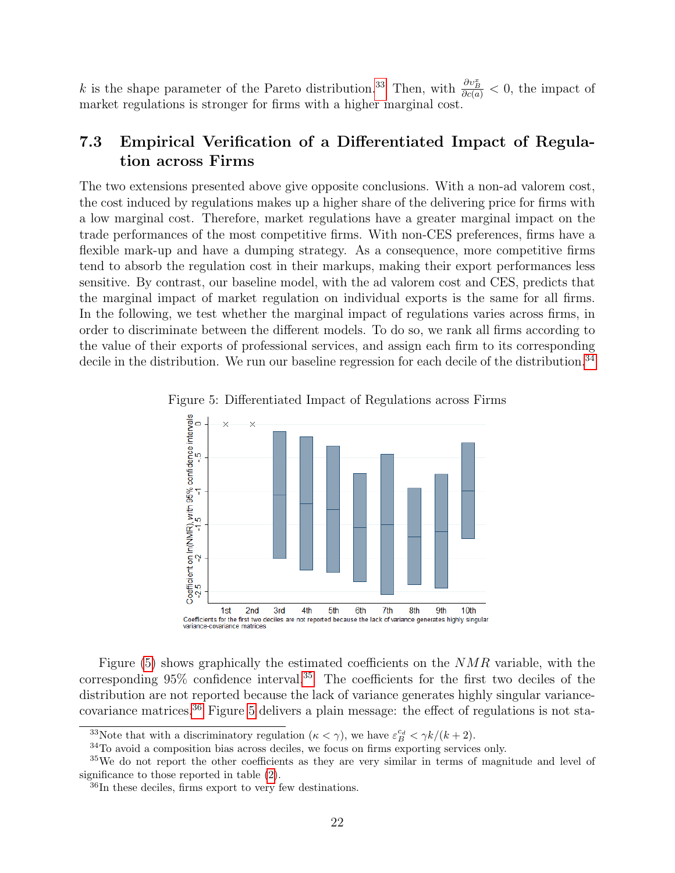k is the shape parameter of the Pareto distribution.<sup>[33](#page-24-0)</sup> Then, with  $\frac{\partial v_B^x}{\partial c(a)} < 0$ , the impact of market regulations is stronger for firms with a higher marginal cost.

## 7.3 Empirical Verification of a Differentiated Impact of Regulation across Firms

The two extensions presented above give opposite conclusions. With a non-ad valorem cost, the cost induced by regulations makes up a higher share of the delivering price for firms with a low marginal cost. Therefore, market regulations have a greater marginal impact on the trade performances of the most competitive firms. With non-CES preferences, firms have a flexible mark-up and have a dumping strategy. As a consequence, more competitive firms tend to absorb the regulation cost in their markups, making their export performances less sensitive. By contrast, our baseline model, with the ad valorem cost and CES, predicts that the marginal impact of market regulation on individual exports is the same for all firms. In the following, we test whether the marginal impact of regulations varies across firms, in order to discriminate between the different models. To do so, we rank all firms according to the value of their exports of professional services, and assign each firm to its corresponding decile in the distribution. We run our baseline regression for each decile of the distribution.<sup>[34](#page-24-1)</sup>

<span id="page-24-2"></span>



Figure  $(5)$  shows graphically the estimated coefficients on the  $NMR$  variable, with the corresponding  $95\%$  confidence interval.<sup>[35](#page-24-3)</sup> The coefficients for the first two deciles of the distribution are not reported because the lack of variance generates highly singular variancecovariance matrices.[36](#page-24-4) Figure [5](#page-24-2) delivers a plain message: the effect of regulations is not sta-

<span id="page-24-1"></span><span id="page-24-0"></span><sup>&</sup>lt;sup>33</sup>Note that with a discriminatory regulation  $(\kappa < \gamma)$ , we have  $\varepsilon_B^{c_d} < \gamma k/(k+2)$ .

<span id="page-24-3"></span><sup>34</sup>To avoid a composition bias across deciles, we focus on firms exporting services only.

<sup>&</sup>lt;sup>35</sup>We do not report the other coefficients as they are very similar in terms of magnitude and level of significance to those reported in table [\(2\)](#page-18-0).

<span id="page-24-4"></span><sup>36</sup>In these deciles, firms export to very few destinations.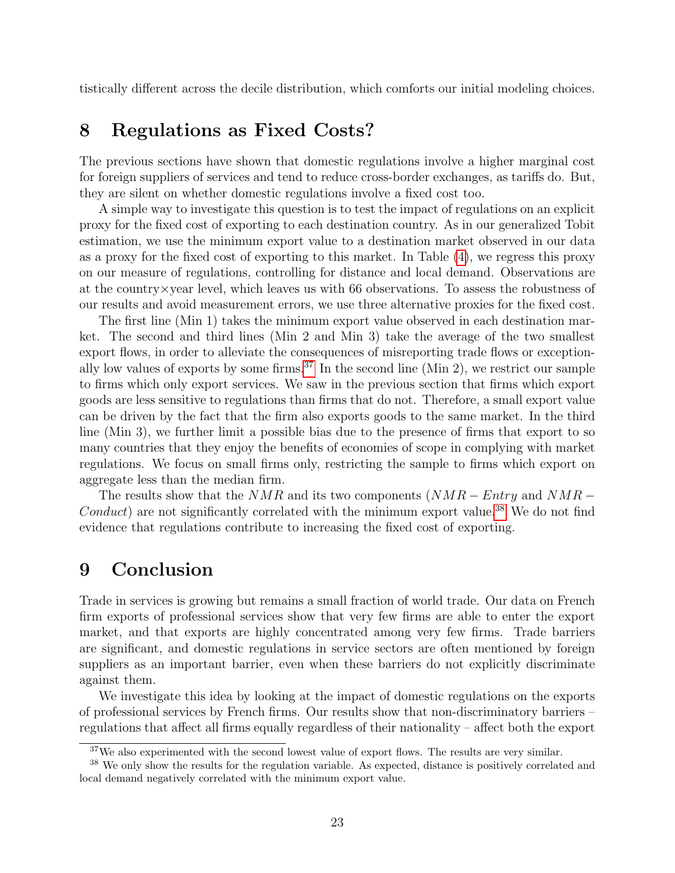tistically different across the decile distribution, which comforts our initial modeling choices.

## 8 Regulations as Fixed Costs?

The previous sections have shown that domestic regulations involve a higher marginal cost for foreign suppliers of services and tend to reduce cross-border exchanges, as tariffs do. But, they are silent on whether domestic regulations involve a fixed cost too.

A simple way to investigate this question is to test the impact of regulations on an explicit proxy for the fixed cost of exporting to each destination country. As in our generalized Tobit estimation, we use the minimum export value to a destination market observed in our data as a proxy for the fixed cost of exporting to this market. In Table [\(4\)](#page-26-0), we regress this proxy on our measure of regulations, controlling for distance and local demand. Observations are at the country×year level, which leaves us with 66 observations. To assess the robustness of our results and avoid measurement errors, we use three alternative proxies for the fixed cost.

The first line (Min 1) takes the minimum export value observed in each destination market. The second and third lines (Min 2 and Min 3) take the average of the two smallest export flows, in order to alleviate the consequences of misreporting trade flows or exception-ally low values of exports by some firms.<sup>[37](#page-25-0)</sup> In the second line (Min 2), we restrict our sample to firms which only export services. We saw in the previous section that firms which export goods are less sensitive to regulations than firms that do not. Therefore, a small export value can be driven by the fact that the firm also exports goods to the same market. In the third line (Min 3), we further limit a possible bias due to the presence of firms that export to so many countries that they enjoy the benefits of economies of scope in complying with market regulations. We focus on small firms only, restricting the sample to firms which export on aggregate less than the median firm.

The results show that the  $NMR$  and its two components  $(NMR - Entry$  and  $NMR Conduct$ ) are not significantly correlated with the minimum export value.<sup>[38](#page-25-1)</sup> We do not find evidence that regulations contribute to increasing the fixed cost of exporting.

## 9 Conclusion

Trade in services is growing but remains a small fraction of world trade. Our data on French firm exports of professional services show that very few firms are able to enter the export market, and that exports are highly concentrated among very few firms. Trade barriers are significant, and domestic regulations in service sectors are often mentioned by foreign suppliers as an important barrier, even when these barriers do not explicitly discriminate against them.

We investigate this idea by looking at the impact of domestic regulations on the exports of professional services by French firms. Our results show that non-discriminatory barriers – regulations that affect all firms equally regardless of their nationality – affect both the export

<span id="page-25-1"></span><span id="page-25-0"></span> $37$ We also experimented with the second lowest value of export flows. The results are very similar.

<sup>&</sup>lt;sup>38</sup> We only show the results for the regulation variable. As expected, distance is positively correlated and local demand negatively correlated with the minimum export value.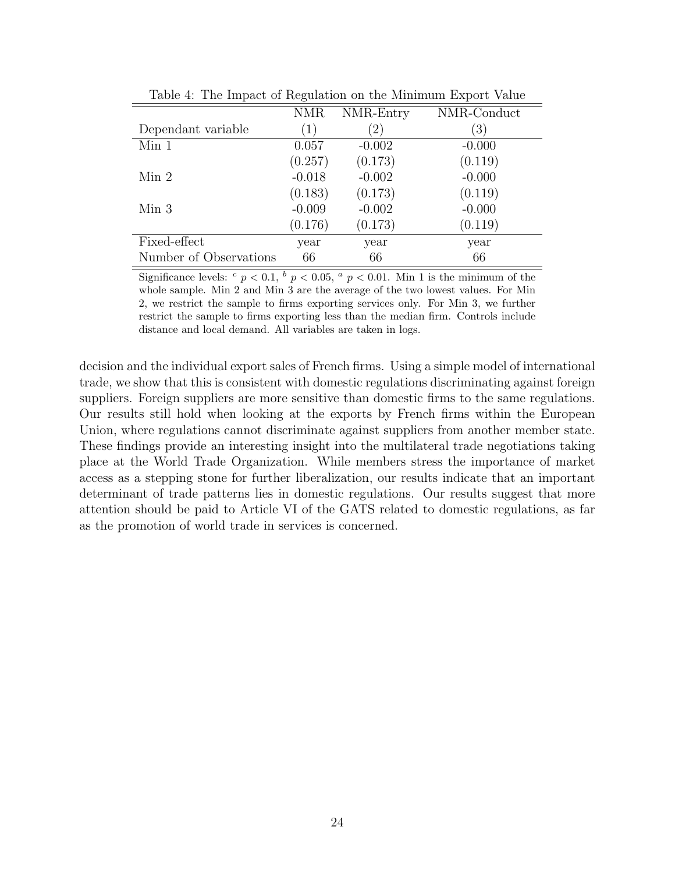| <b>NMR</b>        | NMR-Entry     | NMR-Conduct      |
|-------------------|---------------|------------------|
| $\left( 1\right)$ | $^{\prime}2)$ | $\left(3\right)$ |
| 0.057             | $-0.002$      | $-0.000$         |
| (0.257)           | (0.173)       | (0.119)          |
| $-0.018$          | $-0.002$      | $-0.000$         |
| (0.183)           | (0.173)       | (0.119)          |
| $-0.009$          | $-0.002$      | $-0.000$         |
| (0.176)           | (0.173)       | (0.119)          |
| year              | year          | year             |
| 66                | 66            | 66               |
|                   |               |                  |

<span id="page-26-0"></span>Table 4: The Impact of Regulation on the Minimum Export Value

Significance levels:  $c$   $p < 0.1$ ,  $b$   $p < 0.05$ ,  $a$   $p < 0.01$ . Min 1 is the minimum of the whole sample. Min 2 and Min 3 are the average of the two lowest values. For Min 2, we restrict the sample to firms exporting services only. For Min 3, we further restrict the sample to firms exporting less than the median firm. Controls include distance and local demand. All variables are taken in logs.

decision and the individual export sales of French firms. Using a simple model of international trade, we show that this is consistent with domestic regulations discriminating against foreign suppliers. Foreign suppliers are more sensitive than domestic firms to the same regulations. Our results still hold when looking at the exports by French firms within the European Union, where regulations cannot discriminate against suppliers from another member state. These findings provide an interesting insight into the multilateral trade negotiations taking place at the World Trade Organization. While members stress the importance of market access as a stepping stone for further liberalization, our results indicate that an important determinant of trade patterns lies in domestic regulations. Our results suggest that more attention should be paid to Article VI of the GATS related to domestic regulations, as far as the promotion of world trade in services is concerned.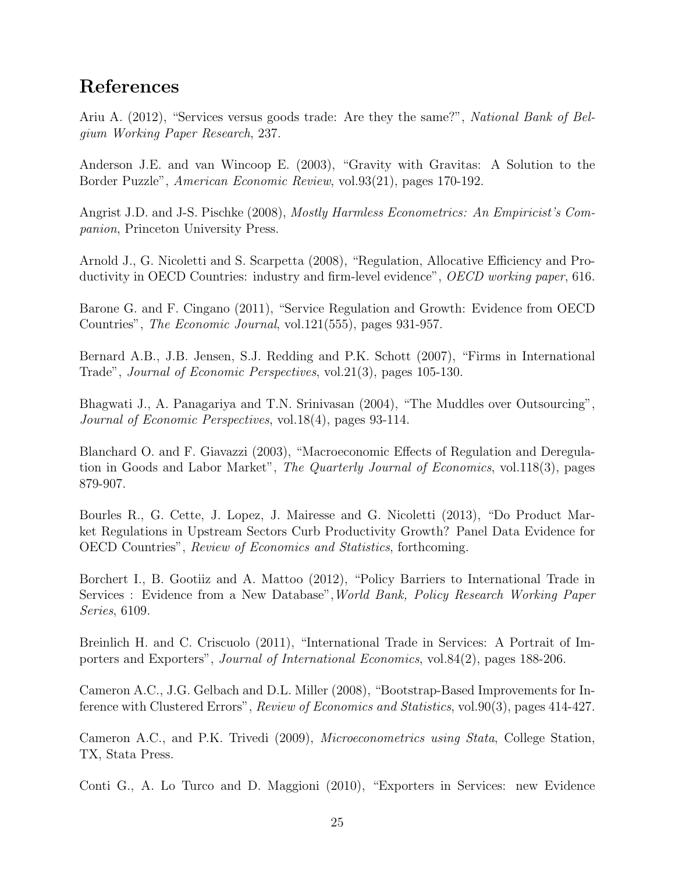## References

Ariu A. (2012), "Services versus goods trade: Are they the same?", National Bank of Belgium Working Paper Research, 237.

Anderson J.E. and van Wincoop E. (2003), "Gravity with Gravitas: A Solution to the Border Puzzle", American Economic Review, vol.93(21), pages 170-192.

Angrist J.D. and J-S. Pischke (2008), Mostly Harmless Econometrics: An Empiricist's Companion, Princeton University Press.

Arnold J., G. Nicoletti and S. Scarpetta (2008), "Regulation, Allocative Efficiency and Productivity in OECD Countries: industry and firm-level evidence", OECD working paper, 616.

Barone G. and F. Cingano (2011), "Service Regulation and Growth: Evidence from OECD Countries", The Economic Journal, vol.121(555), pages 931-957.

Bernard A.B., J.B. Jensen, S.J. Redding and P.K. Schott (2007), "Firms in International Trade", Journal of Economic Perspectives, vol.21(3), pages 105-130.

Bhagwati J., A. Panagariya and T.N. Srinivasan (2004), "The Muddles over Outsourcing", Journal of Economic Perspectives, vol.18(4), pages 93-114.

Blanchard O. and F. Giavazzi (2003), "Macroeconomic Effects of Regulation and Deregulation in Goods and Labor Market", The Quarterly Journal of Economics, vol.118(3), pages 879-907.

Bourles R., G. Cette, J. Lopez, J. Mairesse and G. Nicoletti (2013), "Do Product Market Regulations in Upstream Sectors Curb Productivity Growth? Panel Data Evidence for OECD Countries", Review of Economics and Statistics, forthcoming.

Borchert I., B. Gootiiz and A. Mattoo (2012), "Policy Barriers to International Trade in Services : Evidence from a New Database",World Bank, Policy Research Working Paper Series, 6109.

Breinlich H. and C. Criscuolo (2011), "International Trade in Services: A Portrait of Importers and Exporters", Journal of International Economics, vol.84(2), pages 188-206.

Cameron A.C., J.G. Gelbach and D.L. Miller (2008), "Bootstrap-Based Improvements for Inference with Clustered Errors", Review of Economics and Statistics, vol.90(3), pages 414-427.

Cameron A.C., and P.K. Trivedi (2009), Microeconometrics using Stata, College Station, TX, Stata Press.

Conti G., A. Lo Turco and D. Maggioni (2010), "Exporters in Services: new Evidence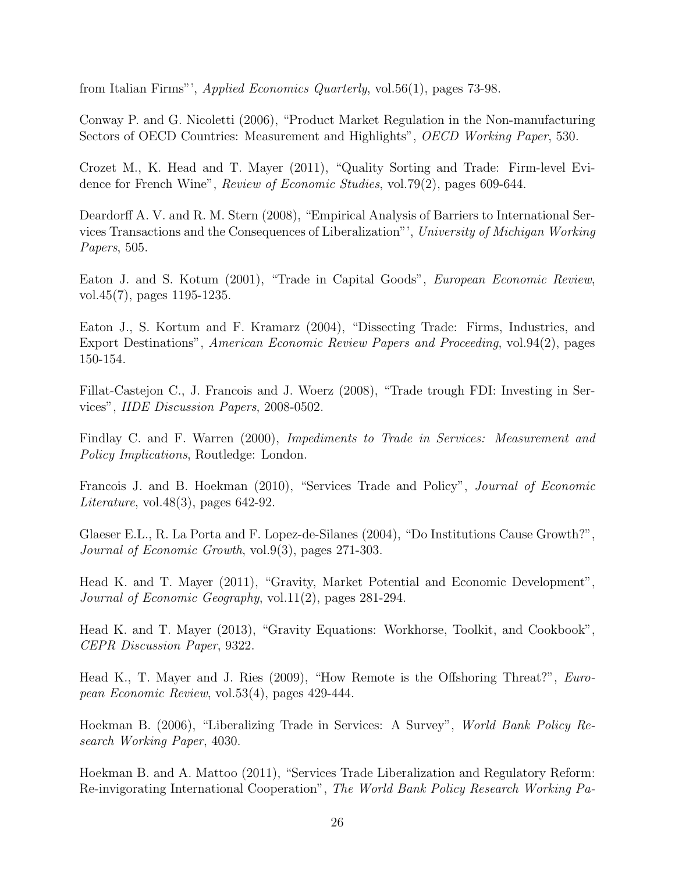from Italian Firms"', Applied Economics Quarterly, vol.56(1), pages 73-98.

Conway P. and G. Nicoletti (2006), "Product Market Regulation in the Non-manufacturing Sectors of OECD Countries: Measurement and Highlights", OECD Working Paper, 530.

Crozet M., K. Head and T. Mayer (2011), "Quality Sorting and Trade: Firm-level Evidence for French Wine", Review of Economic Studies, vol.79(2), pages 609-644.

Deardorff A. V. and R. M. Stern (2008), "Empirical Analysis of Barriers to International Services Transactions and the Consequences of Liberalization"', University of Michigan Working Papers, 505.

Eaton J. and S. Kotum (2001), "Trade in Capital Goods", European Economic Review, vol.45(7), pages 1195-1235.

Eaton J., S. Kortum and F. Kramarz (2004), "Dissecting Trade: Firms, Industries, and Export Destinations", American Economic Review Papers and Proceeding, vol.94(2), pages 150-154.

Fillat-Castejon C., J. Francois and J. Woerz (2008), "Trade trough FDI: Investing in Services", IIDE Discussion Papers, 2008-0502.

Findlay C. and F. Warren (2000), Impediments to Trade in Services: Measurement and Policy Implications, Routledge: London.

Francois J. and B. Hoekman (2010), "Services Trade and Policy", Journal of Economic Literature, vol.  $48(3)$ , pages  $642-92$ .

Glaeser E.L., R. La Porta and F. Lopez-de-Silanes (2004), "Do Institutions Cause Growth?", Journal of Economic Growth, vol.9(3), pages 271-303.

Head K. and T. Mayer (2011), "Gravity, Market Potential and Economic Development", Journal of Economic Geography, vol.11(2), pages 281-294.

Head K. and T. Mayer (2013), "Gravity Equations: Workhorse, Toolkit, and Cookbook", CEPR Discussion Paper, 9322.

Head K., T. Mayer and J. Ries (2009), "How Remote is the Offshoring Threat?", European Economic Review, vol.53(4), pages 429-444.

Hoekman B. (2006), "Liberalizing Trade in Services: A Survey", World Bank Policy Research Working Paper, 4030.

Hoekman B. and A. Mattoo (2011), "Services Trade Liberalization and Regulatory Reform: Re-invigorating International Cooperation", The World Bank Policy Research Working Pa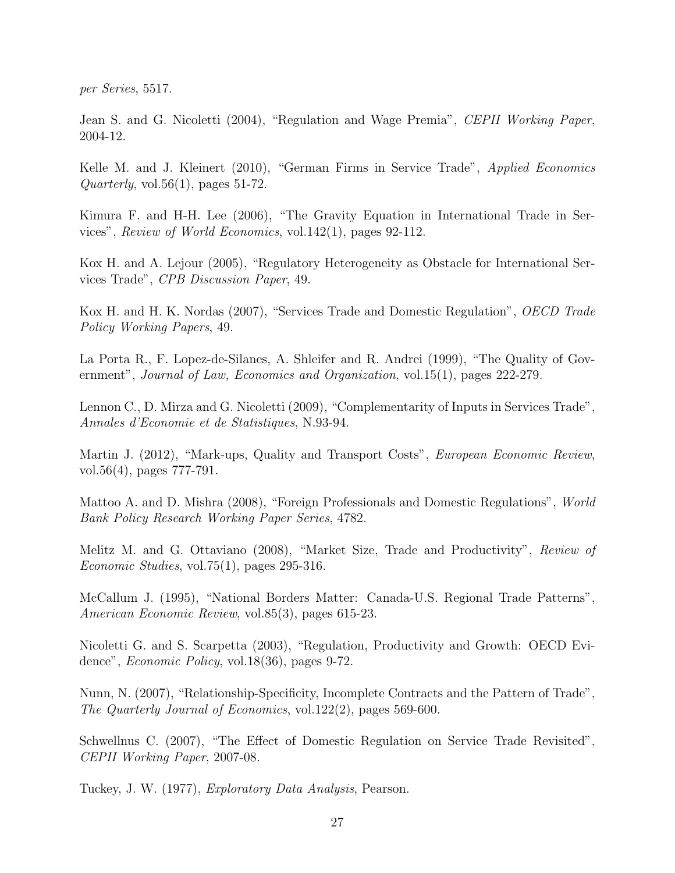per Series, 5517.

Jean S. and G. Nicoletti (2004), "Regulation and Wage Premia", CEPII Working Paper, 2004-12.

Kelle M. and J. Kleinert (2010), "German Firms in Service Trade", Applied Economics  $Quarterly, vol.56(1), pages 51-72.$ 

Kimura F. and H-H. Lee (2006), "The Gravity Equation in International Trade in Services", Review of World Economics, vol.142(1), pages 92-112.

Kox H. and A. Lejour (2005), "Regulatory Heterogeneity as Obstacle for International Services Trade", CPB Discussion Paper, 49.

Kox H. and H. K. Nordas (2007), "Services Trade and Domestic Regulation", *OECD Trade* Policy Working Papers, 49.

La Porta R., F. Lopez-de-Silanes, A. Shleifer and R. Andrei (1999), "The Quality of Government", Journal of Law, Economics and Organization, vol.15(1), pages 222-279.

Lennon C., D. Mirza and G. Nicoletti (2009), "Complementarity of Inputs in Services Trade", Annales d'Economie et de Statistiques, N.93-94.

Martin J. (2012), "Mark-ups, Quality and Transport Costs", *European Economic Review*, vol.56(4), pages 777-791.

Mattoo A. and D. Mishra (2008), "Foreign Professionals and Domestic Regulations", World Bank Policy Research Working Paper Series, 4782.

Melitz M. and G. Ottaviano (2008), "Market Size, Trade and Productivity", Review of Economic Studies, vol.75(1), pages 295-316.

McCallum J. (1995), "National Borders Matter: Canada-U.S. Regional Trade Patterns", American Economic Review, vol.85(3), pages 615-23.

Nicoletti G. and S. Scarpetta (2003), "Regulation, Productivity and Growth: OECD Evidence", Economic Policy, vol.18(36), pages 9-72.

Nunn, N. (2007), "Relationship-Specificity, Incomplete Contracts and the Pattern of Trade", The Quarterly Journal of Economics, vol.122(2), pages 569-600.

Schwellnus C. (2007), "The Effect of Domestic Regulation on Service Trade Revisited", CEPII Working Paper, 2007-08.

Tuckey, J. W. (1977), Exploratory Data Analysis, Pearson.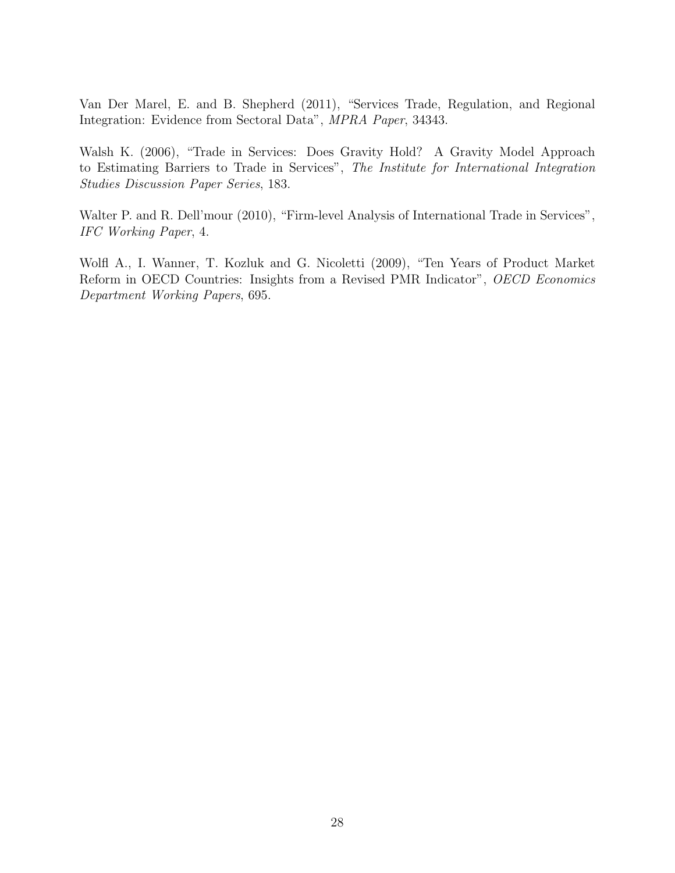Van Der Marel, E. and B. Shepherd (2011), "Services Trade, Regulation, and Regional Integration: Evidence from Sectoral Data", MPRA Paper, 34343.

Walsh K. (2006), "Trade in Services: Does Gravity Hold? A Gravity Model Approach to Estimating Barriers to Trade in Services", The Institute for International Integration Studies Discussion Paper Series, 183.

Walter P. and R. Dell'mour (2010), "Firm-level Analysis of International Trade in Services", IFC Working Paper, 4.

Wolfl A., I. Wanner, T. Kozluk and G. Nicoletti (2009), "Ten Years of Product Market Reform in OECD Countries: Insights from a Revised PMR Indicator", OECD Economics Department Working Papers, 695.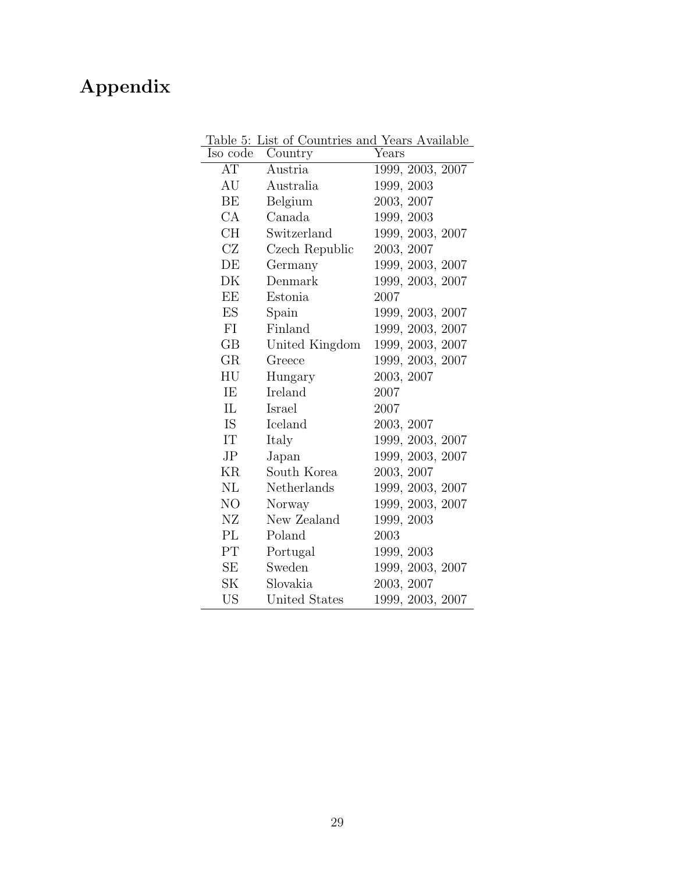## <span id="page-31-0"></span>Appendix

| ⊥ ww<br>Iso code | Country        | Years            |
|------------------|----------------|------------------|
| AT               | Austria        | 1999, 2003, 2007 |
| AU               | Australia      | 1999, 2003       |
| BE               | Belgium        | 2003, 2007       |
| CA               | Canada         | 1999, 2003       |
| CH               | Switzerland    | 1999, 2003, 2007 |
| CZ               | Czech Republic | 2003, 2007       |
| DE               | Germany        | 1999, 2003, 2007 |
| DK               | Denmark        | 1999, 2003, 2007 |
| EE               | Estonia        | 2007             |
| ES               | Spain          | 1999, 2003, 2007 |
| FI               | Finland        | 1999, 2003, 2007 |
| GB               | United Kingdom | 1999, 2003, 2007 |
| GR               | Greece         | 1999, 2003, 2007 |
| HU               | Hungary        | 2003, 2007       |
| IE               | Ireland        | 2007             |
| IL               | Israel         | 2007             |
| IS.              | Iceland        | 2003, 2007       |
| IT               | Italy          | 1999, 2003, 2007 |
| J <sub>P</sub>   | Japan          | 1999, 2003, 2007 |
| ΚR               | South Korea    | 2003, 2007       |
| NL               | Netherlands    | 1999, 2003, 2007 |
| NO               | Norway         | 1999, 2003, 2007 |
| NZ               | New Zealand    | 1999, 2003       |
| PL               | Poland         | 2003             |
| $\rm PT$         | Portugal       | 1999, 2003       |
| SE               | Sweden         | 1999, 2003, 2007 |
| <b>SK</b>        | Slovakia       | 2003, 2007       |
| <b>US</b>        | United States  | 1999, 2003, 2007 |

Table 5: List of Countries and Years Available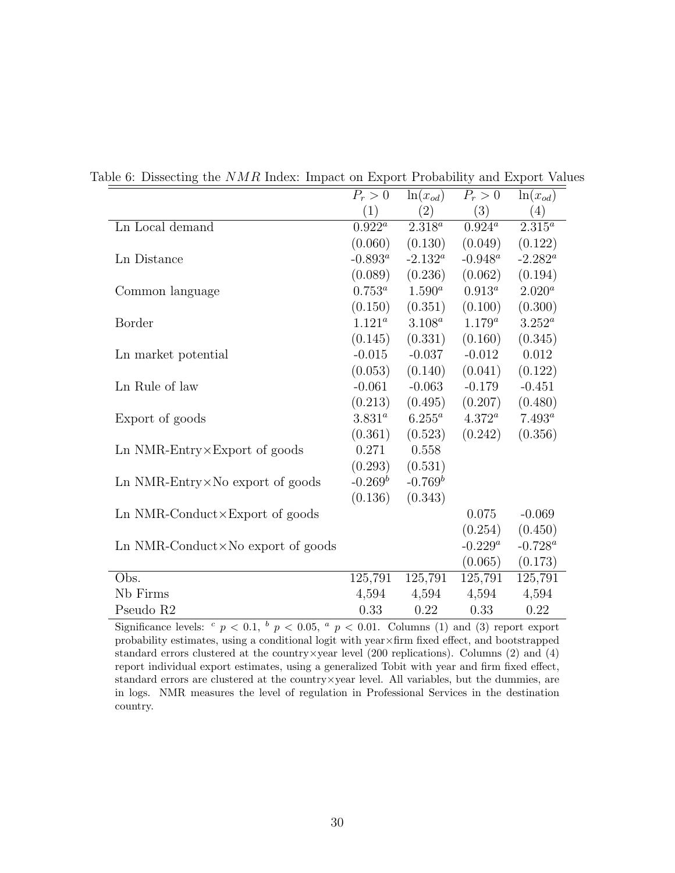<span id="page-32-0"></span>

|                                              | $P_r>0$     | $\ln(x_{od})$ | $P_r>0$     | $ln(x_{od})$ |
|----------------------------------------------|-------------|---------------|-------------|--------------|
|                                              | (1)         | (2)           | (3)         | (4)          |
| Ln Local demand                              | $0.922^a$   | $2.318^a$     | $0.924^a$   | $2.315^{a}$  |
|                                              | (0.060)     | (0.130)       | (0.049)     | (0.122)      |
| Ln Distance                                  | $-0.893^a$  | $-2.132^a$    | $-0.948^a$  | $-2.282^a$   |
|                                              | (0.089)     | (0.236)       | (0.062)     | (0.194)      |
| Common language                              | $0.753^a$   | $1.590^a$     | $0.913^a$   | $2.020^a$    |
|                                              | (0.150)     | (0.351)       | (0.100)     | (0.300)      |
| Border                                       | $1.121^{a}$ | $3.108^{a}$   | $1.179^{a}$ | $3.252^a$    |
|                                              | (0.145)     | (0.331)       | (0.160)     | (0.345)      |
| Ln market potential                          | $-0.015$    | $-0.037$      | $-0.012$    | 0.012        |
|                                              | (0.053)     | (0.140)       | (0.041)     | (0.122)      |
| Ln Rule of law                               | $-0.061$    | $-0.063$      | $-0.179$    | $-0.451$     |
|                                              | (0.213)     | (0.495)       | (0.207)     | (0.480)      |
| Export of goods                              | $3.831^a$   | $6.255^a$     | $4.372^a$   | $7.493^a$    |
|                                              | (0.361)     | (0.523)       | (0.242)     | (0.356)      |
| $Ln$ NMR-Entry $\times$ Export of goods      | 0.271       | 0.558         |             |              |
|                                              | (0.293)     | (0.531)       |             |              |
| Ln NMR-Entry $\times$ No export of goods     | $-0.269^b$  | $-0.769^b$    |             |              |
|                                              | (0.136)     | (0.343)       |             |              |
| Ln NMR-Conduct $\times$ Export of goods      |             |               | 0.075       | $-0.069$     |
|                                              |             |               | (0.254)     | (0.450)      |
| $Ln$ NMR-Conduct $\times$ No export of goods |             |               | $-0.229^a$  | $-0.728^a$   |
|                                              |             |               | (0.065)     | (0.173)      |
| Obs.                                         | 125,791     | 125,791       | 125,791     | 125,791      |
| Nb Firms                                     | 4,594       | 4,594         | 4,594       | 4,594        |
| Pseudo R <sub>2</sub>                        | 0.33        | 0.22          | 0.33        | 0.22         |

Table 6: Dissecting the NMR Index: Impact on Export Probability and Export Values

Significance levels:  $c$   $p < 0.1$ ,  $b$   $p < 0.05$ ,  $a$   $p < 0.01$ . Columns (1) and (3) report export probability estimates, using a conditional logit with year×firm fixed effect, and bootstrapped standard errors clustered at the country  $\times$ year level (200 replications). Columns (2) and (4) report individual export estimates, using a generalized Tobit with year and firm fixed effect, standard errors are clustered at the country×year level. All variables, but the dummies, are in logs. NMR measures the level of regulation in Professional Services in the destination country.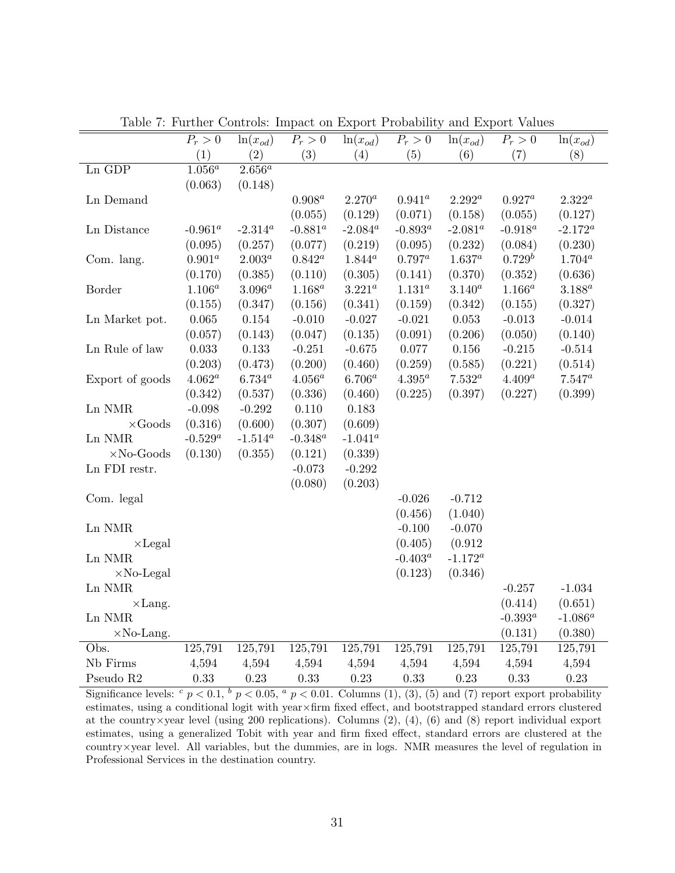|                   | $P_r > 0$  | $ln(x_{od})$      | $P_r > 0$   | $ln(x_{od})$      | $P_r > 0$   | $ln(x_{od})$      | $P_r > 0$   | $ln(x_{od})$      |
|-------------------|------------|-------------------|-------------|-------------------|-------------|-------------------|-------------|-------------------|
|                   | (1)        | (2)               | (3)         | (4)               | (5)         | (6)               | (7)         | (8)               |
| Ln GDP            | $1.056^a$  | $2.656^a$         |             |                   |             |                   |             |                   |
|                   | (0.063)    | (0.148)           |             |                   |             |                   |             |                   |
| Ln Demand         |            |                   | $0.908^a$   | $2.270^{a}$       | $0.941^a$   | $2.292^a$         | $0.927^a$   | $2.322^a$         |
|                   |            |                   | (0.055)     | (0.129)           | (0.071)     | (0.158)           | (0.055)     | (0.127)           |
| Ln Distance       | $-0.961^a$ | $-2.314^a$        | $-0.881^a$  | $\text{-}2.084^a$ | -0.893 $^a$ | $-2.081^a$        | $-0.918^a$  | $\text{-}2.172^a$ |
|                   | (0.095)    | (0.257)           | (0.077)     | (0.219)           | (0.095)     | (0.232)           | (0.084)     | (0.230)           |
| Com. lang.        | $0.901^a$  | $2.003^a$         | $0.842^a$   | $1.844^a$         | $0.797^a$   | $1.637^a$         | $0.729^b$   | $1.704^a$         |
|                   | (0.170)    | (0.385)           | (0.110)     | (0.305)           | (0.141)     | (0.370)           | (0.352)     | (0.636)           |
| Border            | $1.106^a$  | $3.096^a$         | $1.168^{a}$ | $3.221^a$         | $1.131^a$   | $3.140^a$         | $1.166^a$   | $3.188^a$         |
|                   | (0.155)    | (0.347)           | (0.156)     | (0.341)           | (0.159)     | (0.342)           | (0.155)     | (0.327)           |
| Ln Market pot.    | 0.065      | $0.154\,$         | $-0.010$    | $-0.027$          | $-0.021$    | 0.053             | $-0.013$    | $-0.014$          |
|                   | (0.057)    | (0.143)           | (0.047)     | (0.135)           | (0.091)     | (0.206)           | (0.050)     | (0.140)           |
| Ln Rule of law    | 0.033      | 0.133             | $-0.251$    | $-0.675$          | 0.077       | $0.156\,$         | $-0.215$    | $-0.514$          |
|                   | (0.203)    | (0.473)           | (0.200)     | (0.460)           | (0.259)     | (0.585)           | (0.221)     | (0.514)           |
| Export of goods   | $4.062^a$  | $6.734^a$         | $4.056^a$   | $6.706^a$         | $4.395^a$   | $7.532^a$         | $4.409^a$   | $7.547^a$         |
|                   | (0.342)    | (0.537)           | (0.336)     | (0.460)           | (0.225)     | (0.397)           | (0.227)     | (0.399)           |
| Ln NMR            | $-0.098$   | $-0.292$          | 0.110       | 0.183             |             |                   |             |                   |
| $\times$ Goods    | (0.316)    | (0.600)           | (0.307)     | (0.609)           |             |                   |             |                   |
| Ln NMR            | $-0.529^a$ | $\text{-}1.514^a$ | $-0.348^a$  | $\text{-}1.041^a$ |             |                   |             |                   |
| $\times$ No-Goods | (0.130)    | (0.355)           | (0.121)     | (0.339)           |             |                   |             |                   |
| Ln FDI restr.     |            |                   | $-0.073$    | $-0.292$          |             |                   |             |                   |
|                   |            |                   | (0.080)     | (0.203)           |             |                   |             |                   |
| Com. legal        |            |                   |             |                   | $-0.026$    | $-0.712$          |             |                   |
|                   |            |                   |             |                   | (0.456)     | (1.040)           |             |                   |
| Ln NMR            |            |                   |             |                   | $-0.100$    | $-0.070$          |             |                   |
| $\times$ Legal    |            |                   |             |                   | (0.405)     | (0.912)           |             |                   |
| Ln NMR            |            |                   |             |                   | $-0.403^a$  | $\text{-}1.172^a$ |             |                   |
| $\times$ No-Legal |            |                   |             |                   | (0.123)     | (0.346)           |             |                   |
| Ln NMR            |            |                   |             |                   |             |                   | $-0.257$    | $-1.034$          |
| $\times$ Lang.    |            |                   |             |                   |             |                   | (0.414)     | (0.651)           |
| Ln NMR            |            |                   |             |                   |             |                   | -0.393 $^a$ | $\text{-}1.086^a$ |
| $\times$ No-Lang. |            |                   |             |                   |             |                   | (0.131)     | (0.380)           |
| Obs.              | 125,791    | 125,791           | 125,791     | 125,791           | 125,791     | 125,791           | 125,791     | 125,791           |
| Nb Firms          | 4,594      | 4,594             | 4,594       | 4,594             | 4,594       | 4,594             | 4,594       | 4,594             |
| Pseudo R2         | 0.33       | 0.23              | 0.33        | 0.23              | 0.33        | 0.23              | 0.33        | 0.23              |

<span id="page-33-0"></span>Table 7: Further Controls: Impact on Export Probability and Export Values

Significance levels:  $c$   $p < 0.1$ ,  $b$   $p < 0.05$ ,  $a$   $p < 0.01$ . Columns (1), (3), (5) and (7) report export probability estimates, using a conditional logit with year×firm fixed effect, and bootstrapped standard errors clustered at the country×year level (using 200 replications). Columns (2), (4), (6) and (8) report individual export estimates, using a generalized Tobit with year and firm fixed effect, standard errors are clustered at the country×year level. All variables, but the dummies, are in logs. NMR measures the level of regulation in Professional Services in the destination country.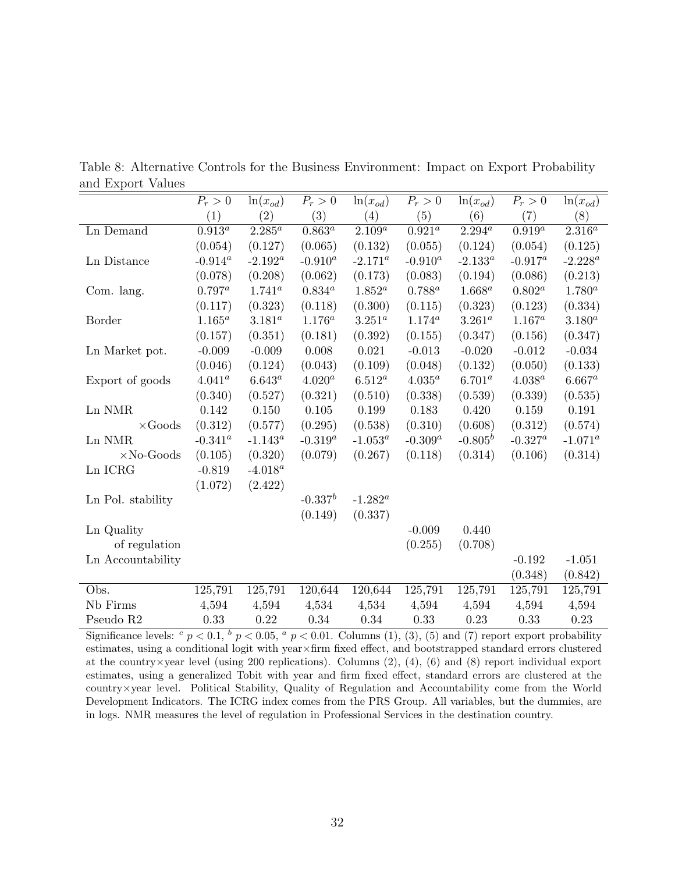|                         | $P_r>0$                | $ln(x_{od})$      | $P_r>0$      | $\ln(x_{od})$ | $P_r>0$      | $\ln(x_{od})$   | $P_r>0$     | $\ln(x_{od})$       |
|-------------------------|------------------------|-------------------|--------------|---------------|--------------|-----------------|-------------|---------------------|
|                         | (1)                    | $\left( 2\right)$ | (3)          | (4)           | (5)          | (6)             | (7)         | (8)                 |
| Ln Demand               | $0.913^{\overline{a}}$ | $2.285^{\circ}$   | $0.863^a$    | $2.109^{a}$   | $0.921^a$    | $2.294^{\rm a}$ | $0.919^a$   | $2.316^{a}$         |
|                         | (0.054)                | (0.127)           | (0.065)      | (0.132)       | (0.055)      | (0.124)         | (0.054)     | (0.125)             |
| Ln Distance             | $-0.914^a$             | $-2.192^a$        | $-0.910^a$   | $-2.171^a$    | $-0.910^a$   | $-2.133^a$      | $-0.917^a$  | $\textbf{-2.228}^a$ |
|                         | (0.078)                | (0.208)           | (0.062)      | (0.173)       | (0.083)      | (0.194)         | (0.086)     | (0.213)             |
| Com. lang.              | $0.797^a$              | $1.741^{a}$       | $0.834^a$    | $1.852^a$     | $0.788^{a}$  | $1.668^a$       | $0.802^a$   | $1.780^a$           |
|                         | (0.117)                | (0.323)           | (0.118)      | (0.300)       | (0.115)      | (0.323)         | (0.123)     | (0.334)             |
| Border                  | $1.165^a$              | $3.181^{a}$       | $1.176^{a}$  | $3.251^{a}$   | $1.174^{a}$  | $3.261^{a}$     | $1.167^a$   | $3.180^{a}$         |
|                         | (0.157)                | (0.351)           | (0.181)      | (0.392)       | (0.155)      | (0.347)         | (0.156)     | (0.347)             |
| Ln Market pot.          | $-0.009$               | $-0.009$          | 0.008        | 0.021         | $-0.013$     | $-0.020$        | $-0.012$    | $-0.034$            |
|                         | (0.046)                | (0.124)           | (0.043)      | (0.109)       | (0.048)      | (0.132)         | (0.050)     | (0.133)             |
| Export of goods         | $4.041^a$              | $6.643^a$         | $4.020^a$    | $6.512^a$     | $4.035^a$    | $6.701^a$       | $4.038^{a}$ | $6.667^a$           |
|                         | (0.340)                | (0.527)           | (0.321)      | (0.510)       | (0.338)      | (0.539)         | (0.339)     | (0.535)             |
| Ln NMR                  | 0.142                  | 0.150             | 0.105        | 0.199         | 0.183        | 0.420           | 0.159       | 0.191               |
| $\times \mathrm{Goods}$ | (0.312)                | (0.577)           | (0.295)      | (0.538)       | (0.310)      | (0.608)         | (0.312)     | (0.574)             |
| Ln NMR                  | $-0.341^a$             | $\text{-}1.143^a$ | $-0.319^{a}$ | $-1.053^a$    | $-0.309^{a}$ | $-0.805^b$      | $-0.327^a$  | $-1.071^a$          |
| $\times$ No-Goods       | (0.105)                | (0.320)           | (0.079)      | (0.267)       | (0.118)      | (0.314)         | (0.106)     | (0.314)             |
| Ln ICRG                 | $-0.819$               | $-4.018^a$        |              |               |              |                 |             |                     |
|                         | (1.072)                | (2.422)           |              |               |              |                 |             |                     |
| Ln Pol. stability       |                        |                   | $-0.337^b$   | $-1.282^a$    |              |                 |             |                     |
|                         |                        |                   | (0.149)      | (0.337)       |              |                 |             |                     |
| Ln Quality              |                        |                   |              |               | $-0.009$     | 0.440           |             |                     |
| of regulation           |                        |                   |              |               | (0.255)      | (0.708)         |             |                     |
| Ln Accountability       |                        |                   |              |               |              |                 | $-0.192$    | $-1.051$            |
|                         |                        |                   |              |               |              |                 | (0.348)     | (0.842)             |
| Obs.                    | 125,791                | 125,791           | 120,644      | 120,644       | 125,791      | 125,791         | 125,791     | 125,791             |
| Nb Firms                | 4,594                  | 4,594             | 4,534        | 4,534         | 4,594        | 4,594           | 4,594       | 4,594               |
| Pseudo R <sub>2</sub>   | 0.33                   | 0.22              | 0.34         | 0.34          | 0.33         | 0.23            | 0.33        | 0.23                |

<span id="page-34-0"></span>Table 8: Alternative Controls for the Business Environment: Impact on Export Probability and Export Values

Significance levels:  $c \neq p < 0.1$ ,  $b \neq 0.05$ ,  $a \neq p < 0.01$ . Columns (1), (3), (5) and (7) report export probability estimates, using a conditional logit with year×firm fixed effect, and bootstrapped standard errors clustered at the country×year level (using 200 replications). Columns (2), (4), (6) and (8) report individual export estimates, using a generalized Tobit with year and firm fixed effect, standard errors are clustered at the country×year level. Political Stability, Quality of Regulation and Accountability come from the World Development Indicators. The ICRG index comes from the PRS Group. All variables, but the dummies, are in logs. NMR measures the level of regulation in Professional Services in the destination country.